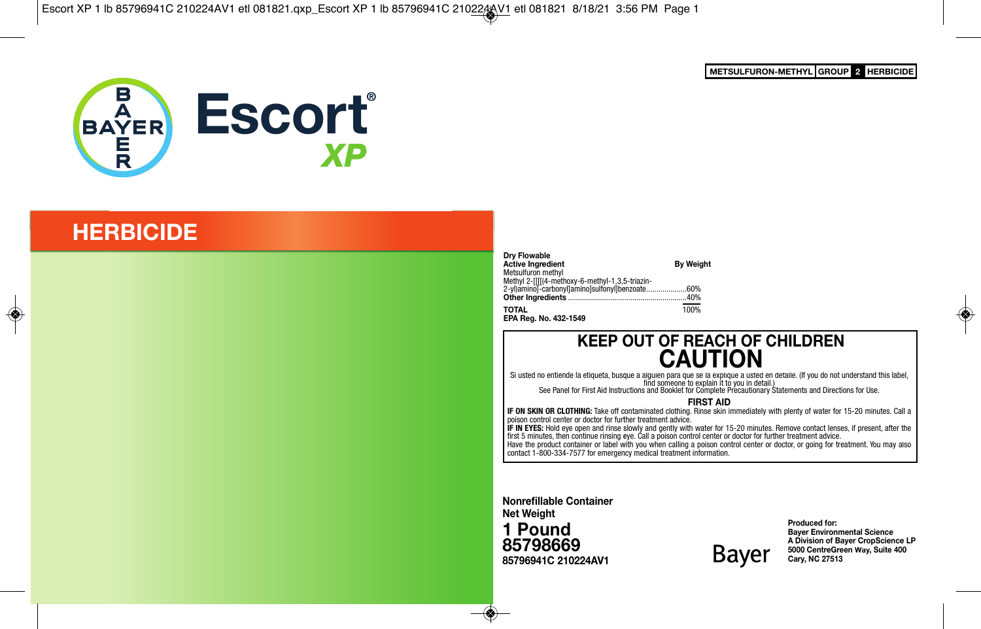Escort XP 1 lb 85796941C 210224AV1 etl 081821.qxp\_Escort XP 1 lb 85796941C 210224 N1 etl 081821 8/18/21 3:56 PM Page 1

**METSULFURON-METHYL GROUP 2 HERBICIDE**



# **HERBICIDE**

€

| Drv Flowable<br>Active Inaredient               | <b>By Weight</b> |
|-------------------------------------------------|------------------|
| Metsulfuron methvl                              |                  |
| Methyl 2-[[[(4-methoxy-6-methyl-1,3,5-triazin-  |                  |
| 2-yl)amino]-carbonyl]amino]sulfonyl]benzoate60% |                  |
|                                                 |                  |
| TOTAL                                           | 100%             |

**EPA Reg. No. 432-1549**

# **OUT OF REACH OF CHILDREN KEEP O CAUTION**

no entiende la etiqueta, busque a alguien para que se la explique a usted en detalle. (If you do not understand this label,<br>See Panel for First Aid Instructions and Boneone to explain it to you in detail.)<br>See Panel for Fi Si usted no entiende la etiqueta, busq Panel for First Aid Instru

#### **FIRST AID**

IF ON SKIN OR CLOTHING: Take off contaminated clothing. Rinse skin immediately with plenty of water for 15-20 minutes. Call a poison control center or doctor for further treatment advice.

poison control center or doctor for further treatment advice.<br>IF IN EYES: Hold eye open and rinse slowly and gently with water for 15-20 minutes. Remove contact lenses, if present, after the<br>first 5 minutes, then continue IF IN EYES: Hold eye open and rinse slowly and gently with water for 15-20 minutes. Remove contact lenses, if present, after the first 5 minutes, then continue rinsing eye. Call a poison control center or doctor for further treatment advice.

**85796941C 210224A AV1 Nonrefillable Container Net Weight 1 Pound 85798669**

**Bayer** 

**5000 Centr een W reGr Way, Suite 400 Produced for: Bayer Environmental Science A Division of Bayer CropScience LP Cary, NC 27513**

◈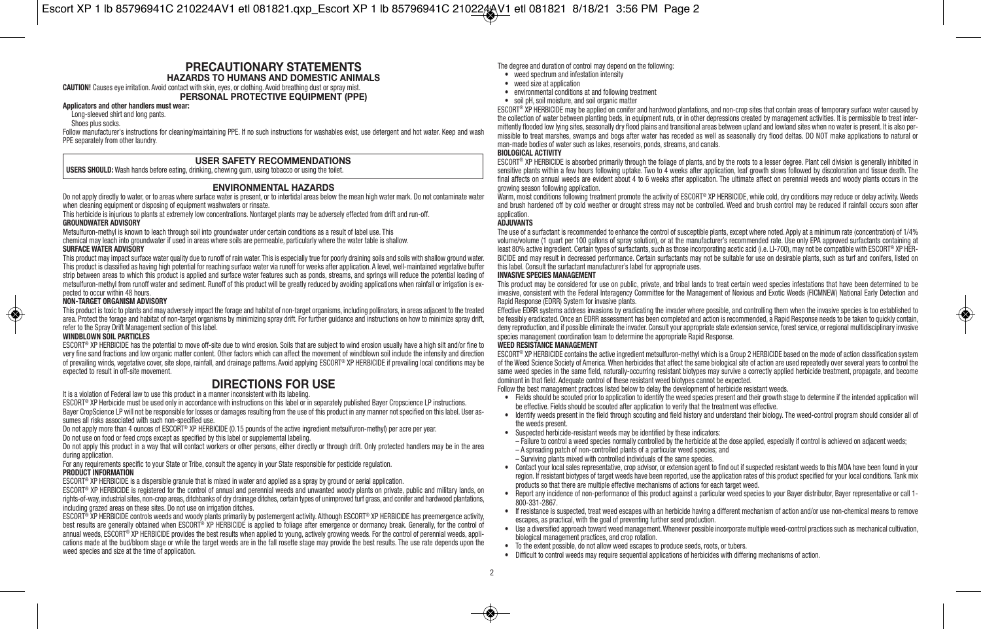## **PRECAUTIONARY STATEMENTS**

**HAZARDS TO HUMANS AND DOMESTIC ANIMALS CAUTION!** Causes eye irritation. Avoid contact with skin, eyes, or clothing. Avoid breathing dust or spray mist.

**PERSONAL PROTECTIVE EQUIPMENT (PPE)**

#### **Applicators and other handlers must wear:**

Long-sleeved shirt and long pants.

Shoes plus socks.

Follow manufacturer's instructions for cleaning/maintaining PPE. If no such instructions for washables exist, use detergent and hot water. Keep and wash PPE separately from other laundry.

### **USER SAFETY RECOMMENDATIONS**

**USERS SHOULD:** Wash hands before eating, drinking, chewing gum, using tobacco or using the toilet.

### **ENVIRONMENTAL HAZARDS**

Do not apply directly to water, or to areas where surface water is present, or to intertidal areas below the mean high water mark. Do not contaminate water when cleaning equipment or disposing of equipment washwaters or rinsate.

This herbicide is injurious to plants at extremely low concentrations. Nontarget plants may be adversely effected from drift and run-off.

#### **GROUNDWATER ADVISORY**

Metsulfuron-methyl is known to leach through soil into groundwater under certain conditions as a result of label use. This

chemical may leach into groundwater if used in areas where soils are permeable, particularly where the water table is shallow.

#### **SURFACE WATER ADVISORY**

This product may impact surface water quality due to runoff of rain water. This is especially true for poorly draining soils and soils with shallow ground water. This product is classified as having high potential for reaching surface water via runoff for weeks after application. A level, well-maintained vegetative buffer strip between areas to which this product is applied and surface water features such as ponds, streams, and springs will reduce the potential loading of metsulfuron-methyl from runoff water and sediment. Runoff of this product will be greatly reduced by avoiding applications when rainfall or irrigation is expected to occur within 48 hours.

#### **NON-TARGET ORGANISM ADVISORY**

This product is toxic to plants and may adversely impact the forage and habitat of non-target organisms, including pollinators, in areas adjacent to the treated area. Protect the forage and habitat of non-target organisms by minimizing spray drift. For further guidance and instructions on how to minimize spray drift, refer to the Spray Drift Management section of this label.

#### **WINDBLOWN SOIL PARTICLES**

ESCORT® XP HERBICIDE has the potential to move off-site due to wind erosion. Soils that are subject to wind erosion usually have a high silt and/or fine to very fine sand fractions and low organic matter content. Other factors which can affect the movement of windblown soil include the intensity and direction of prevailing winds, vegetative cover, site slope, rainfall, and drainage patterns. Avoid applying ESCORT® XP HERBICIDE if prevailing local conditions may be expected to result in off-site movement.

## **DIRECTIONS FOR USE**

It is a violation of Federal law to use this product in a manner inconsistent with its labeling.

ESCORT® XP Herbicide must be used only in accordance with instructions on this label or in separately published Bayer Cropscience LP instructions.

Bayer CropScience LP will not be responsible for losses or damages resulting from the use of this product in any manner not specified on this label. User assumes all risks associated with such non-specified use.

Do not apply more than 4 ounces of ESCORT® XP HERBICIDE (0.15 pounds of the active ingredient metsulfuron-methyl) per acre per year.

Do not use on food or feed crops except as specified by this label or supplemental labeling.

Do not apply this product in a way that will contact workers or other persons, either directly or through drift. Only protected handlers may be in the area during application.

For any requirements specific to your State or Tribe, consult the agency in your State responsible for pesticide regulation.

### **PRODUCT INFORMATION**

ESCORT® XP HERBICIDE is a dispersible granule that is mixed in water and applied as a spray by ground or aerial application.

ESCORT® XP HERBICIDE is registered for the control of annual and perennial weeds and unwanted woody plants on private, public and military lands, on rights-of-way, industrial sites, non-crop areas, ditchbanks of dry drainage ditches, certain types of unimproved turf grass, and conifer and hardwood plantations, including grazed areas on these sites. Do not use on irrigation ditches.

ESCORT® XP HERBICIDE controls weeds and woody plants primarily by postemergent activity. Although ESCORT® XP HERBICIDE has preemergence activity, best results are generally obtained when ESCORT® XP HERBICIDE is applied to foliage after emergence or dormancy break. Generally, for the control of annual weeds, ESCORT® XP HERBICIDE provides the best results when applied to young, actively growing weeds. For the control of perennial weeds, applications made at the bud/bloom stage or while the target weeds are in the fall rosette stage may provide the best results. The use rate depends upon the weed species and size at the time of application.

The degree and duration of control may depend on the following:

- weed spectrum and infestation intensity
- weed size at application
- environmental conditions at and following treatment
- soil pH, soil moisture, and soil organic matter

ESCORT® XP HERBICIDE may be applied on conifer and hardwood plantations, and non-crop sites that contain areas of temporary surface water caused by the collection of water between planting beds, in equipment ruts, or in other depressions created by management activities. It is permissible to treat intermittently flooded low lying sites, seasonally dry flood plains and transitional areas between upland and lowland sites when no water is present. It is also permissible to treat marshes, swamps and bogs after water has receded as well as seasonally dry flood deltas. DO NOT make applications to natural or man-made bodies of water such as lakes, reservoirs, ponds, streams, and canals.

#### **BIOLOGICAL ACTIVITY**

ESCORT® XP HERBICIDE is absorbed primarily through the foliage of plants, and by the roots to a lesser degree. Plant cell division is generally inhibited in sensitive plants within a few hours following uptake. Two to 4 weeks after application, leaf growth slows followed by discoloration and tissue death. The final affects on annual weeds are evident about 4 to 6 weeks after application. The ultimate affect on perennial weeds and woody plants occurs in the growing season following application.

Warm, moist conditions following treatment promote the activity of ESCORT® XP HERBICIDE, while cold, dry conditions may reduce or delay activity. Weeds and brush hardened off by cold weather or drought stress may not be controlled. Weed and brush control may be reduced if rainfall occurs soon after application.

#### **ADJUVANTS**

The use of a surfactant is recommended to enhance the control of susceptible plants, except where noted. Apply at a minimum rate (concentration) of 1/4% volume/volume (1 quart per 100 gallons of spray solution), or at the manufacturer's recommended rate. Use only EPA approved surfactants containing at least 80% active ingredient. Certain types of surfactants, such as those incorporating acetic acid (i.e. LI-700), may not be compatible with ESCORT® XP HER-BICIDE and may result in decreased performance. Certain surfactants may not be suitable for use on desirable plants, such as turf and conifers, listed on this label. Consult the surfactant manufacturer's label for appropriate uses.

### **INVASIVE SPECIES MANAGEMENT**

This product may be considered for use on public, private, and tribal lands to treat certain weed species infestations that have been determined to be invasive, consistent with the Federal Interagency Committee for the Management of Noxious and Exotic Weeds (FICMNEW) National Early Detection and Rapid Response (EDRR) System for invasive plants.

Effective EDRR systems address invasions by eradicating the invader where possible, and controlling them when the invasive species is too established to be feasibly eradicated. Once an EDRR assessment has been completed and action is recommended, a Rapid Response needs to be taken to quickly contain, deny reproduction, and if possible eliminate the invader. Consult your appropriate state extension service, forest service, or regional multidisciplinary invasive species management coordination team to determine the appropriate Rapid Response.

#### **WEED RESISTANCE MANAGEMENT**

ESCORT® XP HERBICIDE contains the active ingredient metsulfuron-methyl which is a Group 2 HERBICIDE based on the mode of action classification system of the Weed Science Society of America. When herbicides that affect the same biological site of action are used repeatedly over several years to control the same weed species in the same field, naturally-occurring resistant biotypes may survive a correctly applied herbicide treatment, propagate, and become dominant in that field. Adequate control of these resistant weed biotypes cannot be expected.

Follow the best management practices listed below to delay the development of herbicide resistant weeds.

- Fields should be scouted prior to application to identify the weed species present and their growth stage to determine if the intended application will be effective. Fields should be scouted after application to verify that the treatment was effective.
- Identify weeds present in the field through scouting and field history and understand their biology. The weed-control program should consider all of the weeds present.
- Suspected herbicide-resistant weeds may be identified by these indicators:
	- Failure to control a weed species normally controlled by the herbicide at the dose applied, especially if control is achieved on adjacent weeds;
	- A spreading patch of non-controlled plants of a particular weed species; and
	- Surviving plants mixed with controlled individuals of the same species.
- Contact your local sales representative, crop advisor, or extension agent to find out if suspected resistant weeds to this MOA have been found in your region. If resistant biotypes of target weeds have been reported, use the application rates of this product specified for your local conditions. Tank mix products so that there are multiple effective mechanisms of actions for each target weed.
- Report any incidence of non-performance of this product against a particular weed species to your Bayer distributor, Bayer representative or call 1- 800-331-2867.
- If resistance is suspected, treat weed escapes with an herbicide having a different mechanism of action and/or use non-chemical means to remove escapes, as practical, with the goal of preventing further seed production.
- Use a diversified approach toward weed management. Whenever possible incorporate multiple weed-control practices such as mechanical cultivation, biological management practices, and crop rotation.
- To the extent possible, do not allow weed escapes to produce seeds, roots, or tubers.
- Difficult to control weeds may require sequential applications of herbicides with differing mechanisms of action.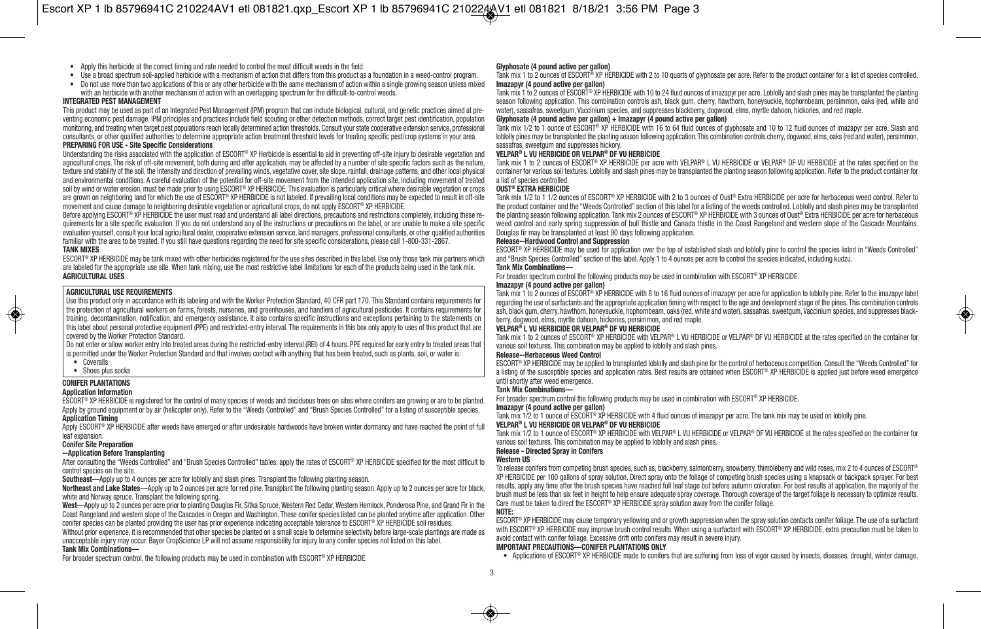- Apply this herbicide at the correct timing and rate needed to control the most difficult weeds in the field.
- Use a broad spectrum soil-applied herbicide with a mechanism of action that differs from this product as a foundation in a weed-control program.
- Do not use more than two applications of this or any other herbicide with the same mechanism of action within a single growing season unless mixed with an herbicide with another mechanism of action with an overlapping spectrum for the difficult-to-control weeds.

#### **INTEGRATED PEST MANAGEMENT**

This product may be used as part of an Integrated Pest Management (IPM) program that can include biological, cultural, and genetic practices aimed at preventing economic pest damage. IPM principles and practices include field scouting or other detection methods, correct target pest identification, population monitoring, and treating when target pest populations reach locally determined action thresholds. Consult your state cooperative extension service, professional consultants, or other qualified authorities to determine appropriate action treatment threshold levels for treating specific pest/crop systems in your area. **PREPARING FOR USE - Site Specific Considerations**

Understanding the risks associated with the application of ESCORT® XP Herbicide is essential to aid in preventing off-site injury to desirable vegetation and agricultural crops. The risk of off-site movement, both during and after application, may be affected by a number of site specific factors such as the nature, texture and stability of the soil, the intensity and direction of prevailing winds, vegetative cover, site slope, rainfall, drainage patterns, and other local physical and environmental conditions. A careful evaluation of the potential for off-site movement from the intended application site, including movement of treated soil by wind or water erosion, must be made prior to using ESCORT® XP HERBICIDE. This evaluation is particularly critical where desirable vegetation or crops are grown on neighboring land for which the use of ESCORT® XP HERBICIDE is not labeled. If prevailing local conditions may be expected to result in off-site movement and cause damage to neighboring desirable vegetation or agricultural crops, do not apply ESCORT® XP HERBICIDE.

Before applying ESCORT® XP HERBICIDE the user must read and understand all label directions, precautions and restrictions completely, including these requirements for a site specific evaluation. If you do not understand any of the instructions or precautions on the label, or are unable to make a site specific evaluation yourself, consult your local agricultural dealer, cooperative extension service, land managers, professional consultants, or other qualified authorities familiar with the area to be treated. If you still have questions regarding the need for site specific considerations, please call 1-800-331-2867.

#### **TANK MIXES**

ESCORT® XP HERBICIDE may be tank mixed with other herbicides registered for the use sites described in this label. Use only those tank mix partners which are labeled for the appropriate use site. When tank mixing, use the most restrictive label limitations for each of the products being used in the tank mix. **AGRICULTURAL USES**

#### **AGRICULTURAL USE REQUIREMENTS**

Use this product only in accordance with its labeling and with the Worker Protection Standard, 40 CFR part 170. This Standard contains requirements for the protection of agricultural workers on farms, forests, nurseries, and greenhouses, and handlers of agricultural pesticides. It contains requirements for training, decontamination, notification, and emergency assistance. It also contains specific instructions and exceptions pertaining to the statements on this label about personal protective equipment (PPE) and restricted-entry interval. The requirements in this box only apply to uses of this product that are covered by the Worker Protection Standard.

Do not enter or allow worker entry into treated areas during the restricted-entry interval (REI) of 4 hours. PPE required for early entry to treated areas that is permitted under the Worker Protection Standard and that involves contact with anything that has been treated, such as plants, soil, or water is:

• Coveralls

• Shoes plus socks

#### **CONIFER PLANTATIONS Application Information**

ESCORT® XP HERBICIDE is registered for the control of many species of weeds and deciduous trees on sites where conifers are growing or are to be planted. Apply by ground equipment or by air (helicopter only). Refer to the "Weeds Controlled" and "Brush Species Controlled" for a listing of susceptible species. **Application Timing**

Apply ESCORT® XP HERBICIDE after weeds have emerged or after undesirable hardwoods have broken winter dormancy and have reached the point of full leaf expansion.

#### **Conifer Site Preparation**

#### **--Application Before Transplanting**

After consulting the "Weeds Controlled" and "Brush Species Controlled" tables, apply the rates of ESCORT® XP HERBICIDE specified for the most difficult to control species on the site.

**Southeast**—Apply up to 4 ounces per acre for loblolly and slash pines. Transplant the following planting season.

**Northeast and Lake States**—Apply up to 2 ounces per acre for red pine. Transplant the following planting season. Apply up to 2 ounces per acre for black, white and Norway spruce. Transplant the following spring.

**West**—Apply up to 2 ounces per acre prior to planting Douglas Fir, Sitka Spruce, Western Red Cedar, Western Hemlock, Ponderosa Pine, and Grand Fir in the Coast Rangeland and western slope of the Cascades in Oregon and Washington. These conifer species listed can be planted anytime after application. Other conifer species can be planted providing the user has prior experience indicating acceptable tolerance to ESCORT® XP HERBICIDE soil residues. Without prior experience, it is recommended that other species be planted on a small scale to determine selectivity before large-scale plantings are made as

unacceptable injury may occur. Bayer CropScience LP will not assume responsibility for injury to any conifer species not listed on this label. **Tank Mix Combinations—**

For broader spectrum control, the following products may be used in combination with ESCORT® XP HERBICIDE.

#### **Glyphosate (4 pound active per gallon)**

Tank mix 1 to 2 ounces of ESCORT<sup>®</sup> XP HERBICIDE with 2 to 10 quarts of glyphosate per acre. Refer to the product container for a list of species controlled. **Imazapyr (4 pound active per gallon)**

Tank mix 1 to 2 ounces of ESCORT® XP HERBICIDE with 10 to 24 fluid ounces of imazapyr per acre. Loblolly and slash pines may be transplanted the planting season following application. This combination controls ash, black gum, cherry, hawthorn, honeysuckle, hophornbeam, persimmon, oaks (red, white and water), sassafras, sweetgum, Vaccinium species, and suppresses blackberry, dogwood, elms, myrtle dahoon, hickories, and red maple.

### **Glyphosate (4 pound active per gallon) + Imazapyr (4 pound active per gallon)**

Tank mix 1/2 to 1 ounce of ESCORT<sup>®</sup> XP HERBICIDE with 16 to 64 fluid ounces of glyphosate and 10 to 12 fluid ounces of imazapyr per acre. Slash and loblolly pines may be transplanted the planting season following application. This combination controls cherry, dogwood, elms, oaks (red and water), persimmon, sassafras, sweetgum and suppresses hickory.

#### **VELPAR® L VU HERBICIDE OR VELPAR® DF VU HERBICIDE**

Tank mix 1 to 2 ounces of ESCORT® XP HERBICIDE per acre with VELPAR® L VU HERBICIDE or VELPAR® DF VU HERBICIDE at the rates specified on the container for various soil textures. Loblolly and slash pines may be transplanted the planting season following application. Refer to the product container for a list of species controlled.

#### **OUST® EXTRA HERBICIDE**

Tank mix 1/2 to 1 1/2 ounces of ESCORT® XP HERBICIDE with 2 to 3 ounces of Oust® Extra HERBICIDE per acre for herbaceous weed control. Refer to the product container and the "Weeds Controlled" section of this label for a listing of the weeds controlled. Loblolly and slash pines may be transplanted the planting season following application. Tank mix 2 ounces of ESCORT® XP HERBICIDE with 3 ounces of Oust® Extra HERBICIDE per acre for herbaceous weed control and early spring suppression of bull thistle and Canada thistle in the Coast Rangeland and western slope of the Cascade Mountains. Douglas fir may be transplanted at least 90 days following application.

#### **Release--Hardwood Control and Suppression**

ESCORT® XP HERBICIDE may be used for application over the top of established slash and loblolly pine to control the species listed in "Weeds Controlled" and "Brush Species Controlled" section of this label. Apply 1 to 4 ounces per acre to control the species indicated, including kudzu.

### **Tank Mix Combinations—**

For broader spectrum control the following products may be used in combination with ESCORT<sup>®</sup> XP HERBICIDE.

#### **Imazapyr (4 pound active per gallon)**

Tank mix 1 to 2 ounces of ESCORT® XP HERBICIDE with 8 to 16 fluid ounces of imazapyr per acre for application to loblolly pine. Refer to the imazapyr label regarding the use of surfactants and the appropriate application timing with respect to the age and development stage of the pines. This combination controls ash, black gum, cherry, hawthorn, honeysuckle, hophornbeam, oaks (red, white and water), sassafras, sweetgum, Vaccinium species, and suppresses blackberry, dogwood, elms, myrtle dahoon, hickories, persimmon, and red maple.

#### **VELPAR® L VU HERBICIDE OR VELPAR® DF VU HERBICIDE**

Tank mix 1 to 2 ounces of ESCORT® XP HERBICIDE with VELPAR® L VU HERBICIDE or VELPAR® DF VU HERBICIDE at the rates specified on the container for various soil textures. This combination may be applied to loblolly and slash pines.

#### **Release--Herbaceous Weed Control**

ESCORT® XP HERBICIDE may be applied to transplanted loblolly and slash pine for the control of herbaceous competition. Consult the "Weeds Controlled" for a listing of the susceptible species and application rates. Best results are obtained when ESCORT® XP HERBICIDE is applied just before weed emergence until shortly after weed emergence.

#### **Tank Mix Combinations—**

For broader spectrum control the following products may be used in combination with ESCORT® XP HERBICIDE.

#### **Imazapyr (4 pound active per gallon)**

Tank mix 1/2 to 1 ounce of ESCORT® XP HERBICIDE with 4 fluid ounces of imazapyr per acre. The tank mix may be used on loblolly pine. **VELPAR® L VU HERBICIDE OR VELPAR® DF VU HERBICIDE**

Tank mix 1/2 to 1 ounce of ESCORT® XP HERBICIDE with VELPAR® L VU HERBICIDE or VELPAR® DF VU HERBICIDE at the rates specified on the container for various soil textures. This combination may be applied to loblolly and slash pines.

#### **Release - Directed Spray in Conifers**

#### **Western US**

To release conifers from competing brush species, such as, blackberry, salmonberry, snowberry, thimbleberry and wild roses, mix 2 to 4 ounces of ESCORT® XP HERBICIDE per 100 gallons of spray solution. Direct spray onto the foliage of competing brush species using a knapsack or backpack sprayer. For best results, apply any time after the brush species have reached full leaf stage but before autumn coloration. For best results at application, the majority of the brush must be less than six feet in height to help ensure adequate spray coverage. Thorough coverage of the target foliage is necessary to optimize results. Care must be taken to direct the ESCORT® XP HERBICIDE spray solution away from the conifer foliage.

#### **NOTE:**

ESCORT® XP HERBICIDE may cause temporary yellowing and or growth suppression when the spray solution contacts conifer foliage. The use of a surfactant with ESCORT<sup>®</sup> XP HERBICIDE may improve brush control results. When using a surfactant with ESCORT<sup>®</sup> XP HERBICIDE, extra precaution must be taken to avoid contact with conifer foliage. Excessive drift onto conifers may result in severe injury.

#### **IMPORTANT PRECAUTIONS—CONIFER PLANTATIONS ONLY**

• Applications of ESCORT® XP HERBICIDE made to conifers that are suffering from loss of vigor caused by insects, diseases, drought, winter damage,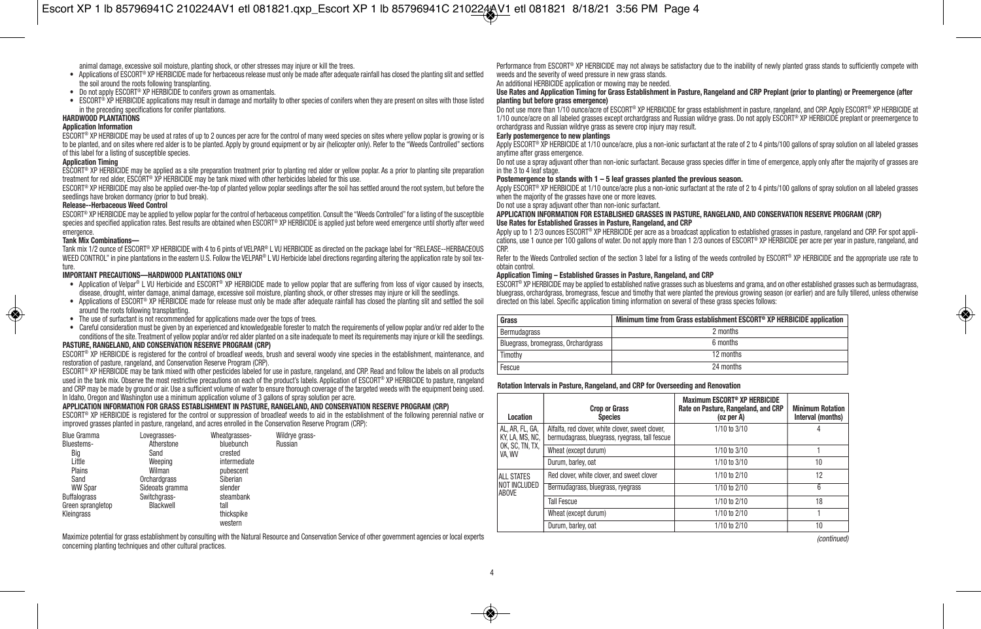animal damage, excessive soil moisture, planting shock, or other stresses may injure or kill the trees.

- Applications of ESCORT® XP HERBICIDE made for herbaceous release must only be made after adequate rainfall has closed the planting slit and settled the soil around the roots following transplanting.
- Do not apply ESCORT<sup>®</sup> XP HERBICIDE to conifers grown as ornamentals.
- ESCORT<sup>®</sup> XP HERBICIDE applications may result in damage and mortality to other species of conifers when they are present on sites with those listed in the preceding specifications for conifer plantations.

#### **HARDWOOD PLANTATIONS**

#### **Application Information**

ESCORT<sup>®</sup> XP HERBICIDE may be used at rates of up to 2 ounces per acre for the control of many weed species on sites where yellow poplar is growing or is to be planted, and on sites where red alder is to be planted. Apply by ground equipment or by air (helicopter only). Refer to the "Weeds Controlled" sections of this label for a listing of susceptible species.

#### **Application Timing**

ESCORT® XP HERBICIDE may be applied as a site preparation treatment prior to planting red alder or yellow poplar. As a prior to planting site preparation treatment for red alder, ESCORT® XP HERBICIDE may be tank mixed with other herbicides labeled for this use.

ESCORT® XP HERBICIDE may also be applied over-the-top of planted yellow poplar seedlings after the soil has settled around the root system, but before the seedlings have broken dormancy (prior to bud break).

#### **Release--Herbaceous Weed Control**

ESCORT® XP HERBICIDE may be applied to yellow poplar for the control of herbaceous competition. Consult the "Weeds Controlled" for a listing of the susceptible species and specified application rates. Best results are obtained when ESCORT® XP HERBICIDE is applied just before weed emergence until shortly after weed emergence.

#### **Tank Mix Combinations—**

Tank mix 1/2 ounce of ESCORT® XP HERBICIDE with 4 to 6 pints of VELPAR® L VU HERBICIDE as directed on the package label for "RELEASE-- HERBACEOUS WEED CONTROL" in pine plantations in the eastern U.S. Follow the VELPAR® L VU Herbicide label directions regarding altering the application rate by soil texture.

#### **IMPORTANT PRECAUTIONS—HARDWOOD PLANTATIONS ONLY**

- Application of Velpar® L VU Herbicide and ESCORT® XP HERBICIDE made to yellow poplar that are suffering from loss of vigor caused by insects, disease, drought, winter damage, animal damage, excessive soil moisture, planting shock, or other stresses may injure or kill the seedlings.
- Applications of ESCORT® XP HERBICIDE made for release must only be made after adequate rainfall has closed the planting slit and settled the soil around the roots following transplanting.
- The use of surfactant is not recommended for applications made over the tops of trees.
- Careful consideration must be given by an experienced and knowledgeable forester to match the requirements of yellow poplar and/or red alder to the conditions of the site. Treatment of yellow poplar and/or red alder planted on a site inadequate to meet its requirements may injure or kill the seedlings. **PASTURE, RANGELAND, AND CONSERVATION RESERVE PROGRAM (CRP)**

#### ESCORT® XP HERBICIDE is registered for the control of broadleaf weeds, brush and several woody vine species in the establishment, maintenance, and restoration of pasture, rangeland, and Conservation Reserve Program (CRP).

ESCORT® XP HERBICIDE may be tank mixed with other pesticides labeled for use in pasture, rangeland, and CRP. Read and follow the labels on all products used in the tank mix. Observe the most restrictive precautions on each of the product's labels. Application of ESCORT® XP HERBICIDE to pasture, rangeland and CRP may be made by ground or air. Use a sufficient volume of water to ensure thorough coverage of the targeted weeds with the equipment being used. In Idaho, Oregon and Washington use a minimum application volume of 3 gallons of spray solution per acre.

#### **APPLICATION INFORMATION FOR GRASS ESTABLISHMENT IN PASTURE, RANGELAND, AND CONSERVATION RESERVE PROGRAM (CRP)**

ESCORT® XP HERBICIDE is registered for the control or suppression of broadleaf weeds to aid in the establishment of the following perennial native or improved grasses planted in pasture, rangeland, and acres enrolled in the Conservation Reserve Program (CRP):

| <b>Blue Gramma</b>  | Lovegrasses-    | Wheatorasses- | Wildrye grass- |
|---------------------|-----------------|---------------|----------------|
| Bluestems-          | Atherstone      | bluebunch     | Russian        |
| Big                 | Sand            | crested       |                |
| Little              | Weeping         | intermediate  |                |
| Plains              | Wilman          | pubescent     |                |
| Sand                | Orchardgrass    | Siberian      |                |
| <b>WW Spar</b>      | Sideoats gramma | slender       |                |
| <b>Buffalograss</b> | Switchgrass-    | steambank     |                |
| Green sprangletop   | Blackwell       | tall          |                |
| Kleingrass          |                 | thickspike    |                |
|                     |                 | western       |                |

Maximize potential for grass establishment by consulting with the Natural Resource and Conservation Service of other government agencies or local experts concerning planting techniques and other cultural practices.

Performance from ESCORT® XP HERBICIDE may not always be satisfactory due to the inability of newly planted grass stands to sufficiently compete with weeds and the severity of weed pressure in new grass stands.

An additional HERBICIDE application or mowing may be needed.

#### **Use Rates and Application Timing for Grass Establishment in Pasture, Rangeland and CRP Preplant (prior to planting) or Preemergence (after planting but before grass emergence)**

Do not use more than 1/10 ounce/acre of ESCORT® XP HERBICIDE for grass establishment in pasture, rangeland, and CRP. Apply ESCORT® XP HERBICIDE at 1/10 ounce/acre on all labeled grasses except orchardgrass and Russian wildrye grass. Do not apply ESCORT® XP HERBICIDE preplant or preemergence to orchardgrass and Russian wildrye grass as severe crop injury may result.

#### **Early postemergence to new plantings**

Apply ESCORT® XP HERBICIDE at 1/10 ounce/acre, plus a non-ionic surfactant at the rate of 2 to 4 pints/100 gallons of spray solution on all labeled grasses anytime after grass emergence.

Do not use a spray adjuvant other than non-ionic surfactant. Because grass species differ in time of emergence, apply only after the majority of grasses are in the 3 to 4 leaf stage.

#### **Postemergence to stands with 1 – 5 leaf grasses planted the previous season.**

Apply ESCORT® XP HERBICIDE at 1/10 ounce/acre plus a non-ionic surfactant at the rate of 2 to 4 pints/100 gallons of spray solution on all labeled grasses when the majority of the grasses have one or more leaves.

Do not use a spray adjuvant other than non-ionic surfactant.

#### **APPLICATION INFORMATION FOR ESTABLISHED GRASSES IN PASTURE, RANGELAND, AND CONSERVATION RESERVE PROGRAM (CRP) Use Rates for Established Grasses in Pasture, Rangeland, and CRP**

Apply up to 1 2/3 ounces ESCORT® XP HERBICIDE per acre as a broadcast application to established grasses in pasture, rangeland and CRP. For spot applications, use 1 ounce per 100 gallons of water. Do not apply more than 1 2/3 ounces of ESCORT® XP HERBICIDE per acre per year in pasture, rangeland, and CRP.

Refer to the Weeds Controlled section of the section 3 label for a listing of the weeds controlled by ESCORT® XP HERBICIDE and the appropriate use rate to obtain control.

#### **Application Timing – Established Grasses in Pasture, Rangeland, and CRP**

ESCORT<sup>®</sup> XP HERBICIDE may be applied to established native grasses such as bluestems and grama, and on other established grasses such as bermudagrass, bluegrass, orchardgrass, bromegrass, fescue and timothy that were planted the previous growing season (or earlier) and are fully tillered, unless otherwise directed on this label. Specific application timing information on several of these grass species follows:

| Grass                               | Minimum time from Grass establishment ESCORT <sup>®</sup> XP HERBICIDE application |  |  |
|-------------------------------------|------------------------------------------------------------------------------------|--|--|
| Bermudagrass                        | 2 months                                                                           |  |  |
| Bluegrass, bromegrass, Orchardgrass | 6 months                                                                           |  |  |
| Timothy                             | 12 months                                                                          |  |  |
| Fescue                              | 24 months                                                                          |  |  |

#### **Rotation Intervals in Pasture, Rangeland, and CRP for Overseeding and Renovation**

| Location                           | <b>Crop or Grass</b><br><b>Species</b>                                                             | Maximum ESCORT® XP HERBICIDE<br>Rate on Pasture, Rangeland, and CRP<br>(oz per A) | <b>Minimum Rotation</b><br>Interval (months) |
|------------------------------------|----------------------------------------------------------------------------------------------------|-----------------------------------------------------------------------------------|----------------------------------------------|
| AL, AR, FL, GA,<br>KY, LA, MS, NC, | Alfalfa, red clover, white clover, sweet clover,<br>bermudagrass, bluegrass, ryegrass, tall fescue | $1/10$ to $3/10$                                                                  |                                              |
| OK, SC, TN, TX,<br>VA. WV          | Wheat (except durum)                                                                               | $1/10$ to $3/10$                                                                  |                                              |
|                                    | Durum, barley, oat                                                                                 | $1/10$ to $3/10$                                                                  | 10                                           |
| ALL STATES                         | Red clover, white clover, and sweet clover                                                         | 1/10 to 2/10                                                                      | 12                                           |
| INOT INCLUDED<br><b>ABOVE</b>      | Bermudagrass, bluegrass, ryegrass                                                                  | 1/10 to 2/10                                                                      | 6                                            |
|                                    | <b>Tall Fescue</b>                                                                                 | $1/10$ to $2/10$                                                                  | 18                                           |
|                                    | Wheat (except durum)                                                                               | $1/10$ to $2/10$                                                                  |                                              |
|                                    | Durum, barley, oat                                                                                 | $1/10$ to $2/10$                                                                  | 10                                           |

(continued)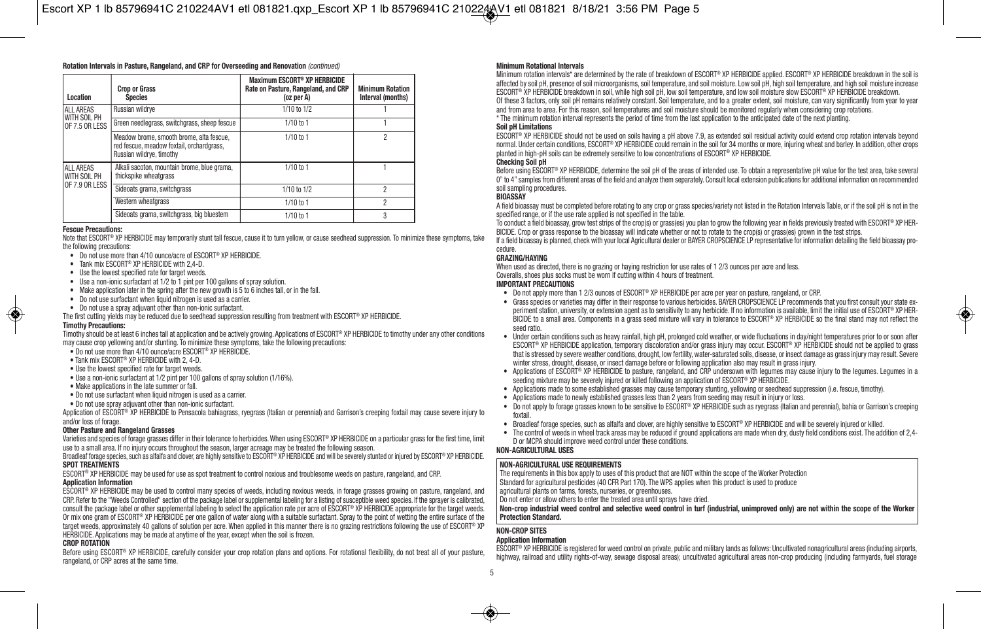**Rotation Intervals in Pasture, Rangeland, and CRP for Overseeding and Renovation** (continued)

| Location                                    | <b>Crop or Grass</b><br><b>Species</b>                                                                            | Maximum ESCORT <sup>®</sup> XP HERBICIDE<br>Rate on Pasture, Rangeland, and CRP<br>(oz per A) | <b>Minimum Rotation</b><br>Interval (months) |
|---------------------------------------------|-------------------------------------------------------------------------------------------------------------------|-----------------------------------------------------------------------------------------------|----------------------------------------------|
| ALL AREAS<br>WITH SOIL PH                   | Russian wildrye                                                                                                   | $1/10$ to $1/2$                                                                               |                                              |
| OF 7.5 OR LESS                              | Green needlegrass, switchgrass, sheep fescue                                                                      | 1/10 to 1                                                                                     |                                              |
|                                             | Meadow brome, smooth brome, alta fescue,<br>red fescue, meadow foxtail, orchardgrass,<br>Russian wildrye, timothy | 1/10 to 1                                                                                     | 2                                            |
| ALL AREAS<br>WITH SOIL PH<br>OF 7.9 OR LESS | Alkali sacoton, mountain brome, blue grama.<br>thickspike wheatgrass                                              | 1/10 to 1                                                                                     |                                              |
|                                             | Sideoats grama, switchgrass                                                                                       | $1/10$ to $1/2$                                                                               | 2                                            |
|                                             | Western wheatorass                                                                                                | $1/10$ to $1$                                                                                 | 2                                            |
|                                             | Sideoats grama, switchgrass, big bluestem                                                                         | $1/10$ to $1$                                                                                 | 3                                            |

#### **Fescue Precautions:**

Note that ESCORT® XP HERBICIDE may temporarily stunt tall fescue, cause it to turn yellow, or cause seedhead suppression. To minimize these symptoms, take the following precautions:

- Do not use more than 4/10 ounce/acre of ESCORT<sup>®</sup> XP HERBICIDE.
- Tank mix ESCORT<sup>®</sup> XP HERBICIDE with 2.4-D.
- Use the lowest specified rate for target weeds.
- Use a non-ionic surfactant at 1/2 to 1 pint per 100 gallons of spray solution.
- Make application later in the spring after the new growth is 5 to 6 inches tall, or in the fall.
- Do not use surfactant when liquid nitrogen is used as a carrier.
- Do not use a spray adjuvant other than non-ionic surfactant.

The first cutting yields may be reduced due to seedhead suppression resulting from treatment with ESCORT® XP HERBICIDE.

#### **Timothy Precautions:**

Timothy should be at least 6 inches tall at application and be actively growing. Applications of ESCORT® XP HERBICIDE to timothy under any other conditions may cause crop yellowing and/or stunting. To minimize these symptoms, take the following precautions:

- Do not use more than 4/10 ounce/acre ESCORT® XP HERBICIDE.
- Tank mix ESCORT® XP HERBICIDE with 2, 4-D.
- Use the lowest specified rate for target weeds.
- Use a non-ionic surfactant at 1/2 pint per 100 gallons of spray solution (1/16%).
- Make applications in the late summer or fall.
- Do not use surfactant when liquid nitrogen is used as a carrier.
- Do not use spray adjuvant other than non-ionic surfactant.

Application of ESCORT® XP HERBICIDE to Pensacola bahiagrass, ryegrass (Italian or perennial) and Garrison's creeping foxtail may cause severe injury to and/or loss of forage.

#### **Other Pasture and Rangeland Grasses**

Varieties and species of forage grasses differ in their tolerance to herbicides. When using ESCORT<sup>®</sup> XP HERBICIDE on a particular grass for the first time, limit use to a small area. If no injury occurs throughout the season, larger acreage may be treated the following season.

Broadleaf forage species, such as alfalfa and clover, are highly sensitive to ESCORT® XP HERBICIDE and will be severely stunted or injured by ESCORT® XP HERBICIDE. **SPOT TREATMENTS**

ESCORT® XP HERBICIDE may be used for use as spot treatment to control noxious and troublesome weeds on pasture, rangeland, and CRP.

#### **Application Information**

ESCORT® XP HERBICIDE may be used to control many species of weeds, including noxious weeds, in forage grasses growing on pasture, rangeland, and CRP. Refer to the "Weeds Controlled" section of the package label or supplemental labeling for a listing of susceptible weed species. If the sprayer is calibrated, consult the package label or other supplemental labeling to select the application rate per acre of ESCORT® XP HERBICIDE appropriate for the target weeds. Or mix one gram of ESCORT® XP HERBICIDE per one gallon of water along with a suitable surfactant. Spray to the point of wetting the entire surface of the target weeds, approximately 40 gallons of solution per acre. When applied in this manner there is no grazing restrictions following the use of ESCORT® XP HERBICIDE. Applications may be made at anytime of the year, except when the soil is frozen.

#### **CROP ROTATION**

Before using ESCORT® XP HERBICIDE, carefully consider your crop rotation plans and options. For rotational flexibility, do not treat all of your pasture, rangeland, or CRP acres at the same time.

#### **Minimum Rotational Intervals**

Minimum rotation intervals\* are determined by the rate of breakdown of ESCORT® XP HERBICIDE applied. ESCORT® XP HERBICIDE breakdown in the soil is affected by soil pH, presence of soil microorganisms, soil temperature, and soil moisture. Low soil pH, high soil temperature, and high soil moisture increase ESCORT® XP HERBICIDE breakdown in soil, while high soil pH, low soil temperature, and low soil moisture slow ESCORT® XP HERBICIDE breakdown. Of these 3 factors, only soil pH remains relatively constant. Soil temperature, and to a greater extent, soil moisture, can vary significantly from year to year and from area to area. For this reason, soil temperatures and soil moisture should be monitored regularly when considering crop rotations. \* The minimum rotation interval represents the period of time from the last application to the anticipated date of the next planting.

#### **Soil pH Limitations**

ESCORT® XP HERBICIDE should not be used on soils having a pH above 7.9, as extended soil residual activity could extend crop rotation intervals beyond normal. Under certain conditions, ESCORT® XP HERBICIDE could remain in the soil for 34 months or more, injuring wheat and barley. In addition, other crops planted in high-pH soils can be extremely sensitive to low concentrations of ESCORT® XP HERBICIDE.

#### **Checking Soil pH**

Before using ESCORT® XP HERBICIDE, determine the soil pH of the areas of intended use. To obtain a representative pH value for the test area, take several 0" to 4" samples from different areas of the field and analyze them separately. Consult local extension publications for additional information on recommended soil sampling procedures.

#### **BIOASSAY**

A field bioassay must be completed before rotating to any crop or grass species/variety not listed in the Rotation Intervals Table, or if the soil pH is not in the specified range, or if the use rate applied is not specified in the table.

To conduct a field bioassay, grow test strips of the crop(s) or grass(es) you plan to grow the following year in fields previously treated with ESCORT® XP HER-BICIDE. Crop or grass response to the bioassay will indicate whether or not to rotate to the crop(s) or grass(es) grown in the test strips.

If a field bioassay is planned, check with your local Agricultural dealer or BAYER CROPSCIENCE LP representative for information detailing the field bioassay procedure.

### **GRAZING/HAYING**

When used as directed, there is no grazing or haying restriction for use rates of 1 2/3 ounces per acre and less.

Coveralls, shoes plus socks must be worn if cutting within 4 hours of treatment.

### **IMPORTANT PRECAUTIONS**

- Do not apply more than 1 2/3 ounces of ESCORT® XP HERBICIDE per acre per year on pasture, rangeland, or CRP.
- Grass species or varieties may differ in their response to various herbicides. BAYER CROPSCIENCE LP recommends that you first consult your state experiment station, university, or extension agent as to sensitivity to any herbicide. If no information is available, limit the initial use of ESCORT® XP HER-BICIDE to a small area. Components in a grass seed mixture will vary in tolerance to ESCORT® XP HERBICIDE so the final stand may not reflect the seed ratio.
- Under certain conditions such as heavy rainfall, high pH, prolonged cold weather, or wide fluctuations in day/night temperatures prior to or soon after ESCORT® XP HERBICIDE application, temporary discoloration and/or grass injury may occur. ESCORT® XP HERBICIDE should not be applied to grass that is stressed by severe weather conditions, drought, low fertility, water-saturated soils, disease, or insect damage as grass injury may result. Severe winter stress, drought, disease, or insect damage before or following application also may result in grass injury.
- Applications of ESCORT<sup>®</sup> XP HERBICIDE to pasture, rangeland, and CRP undersown with legumes may cause injury to the legumes. Legumes in a seeding mixture may be severely injured or killed following an application of ESCORT<sup>®</sup> XP HERBICIDE.
- Applications made to some established grasses may cause temporary stunting, yellowing or seedhead suppression (i.e. fescue, timothy).
- Applications made to newly established grasses less than 2 years from seeding may result in injury or loss.
- Do not apply to forage grasses known to be sensitive to ESCORT® XP HERBICIDE such as ryegrass (Italian and perennial), bahia or Garrison's creeping foxtail.
- Broadleaf forage species, such as alfalfa and clover, are highly sensitive to ESCORT® XP HERBICIDE and will be severely injured or killed.
- The control of weeds in wheel track areas may be reduced if ground applications are made when dry, dusty field conditions exist. The addition of 2,4- D or MCPA should improve weed control under these conditions.

### **NON-AGRICULTURAL USES**

### **NON-AGRICULTURAL USE REQUIREMENTS**

The requirements in this box apply to uses of this product that are NOT within the scope of the Worker Protection Standard for agricultural pesticides (40 CFR Part 170). The WPS applies when this product is used to produce agricultural plants on farms, forests, nurseries, or greenhouses.

Do not enter or allow others to enter the treated area until sprays have dried.

#### **Non-crop industrial weed control and selective weed control in turf (industrial, unimproved only) are not within the scope of the Worker Protection Standard.**

#### **NON-CROP SITES Application Information**

ESCORT® XP HERBICIDE is registered for weed control on private, public and military lands as follows: Uncultivated nonagricultural areas (including airports, highway, railroad and utility rights-of-way, sewage disposal areas); uncultivated agricultural areas non-crop producing (including farmyards, fuel storage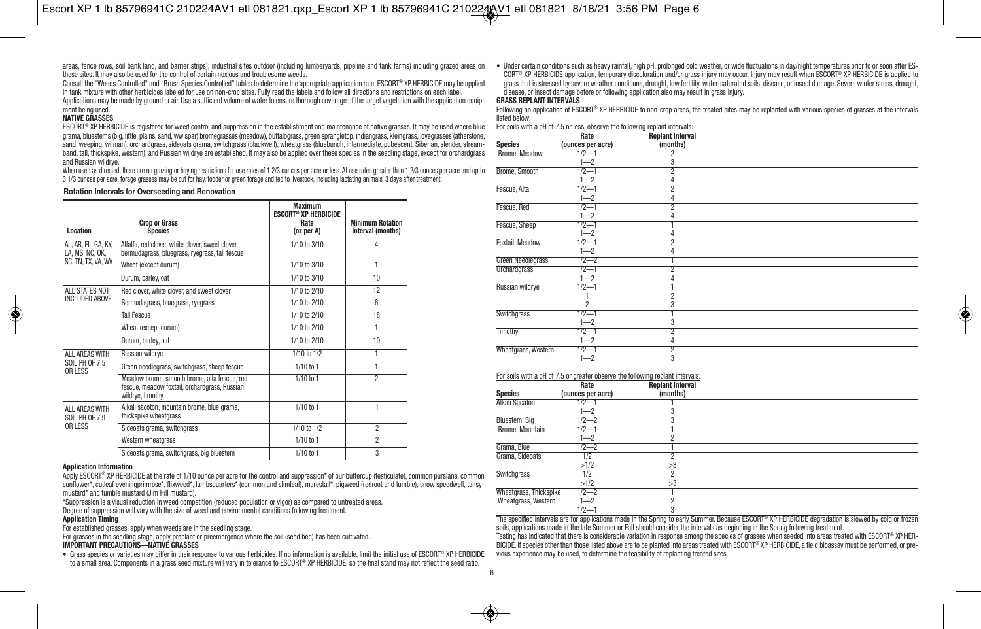areas, fence rows, soil bank land, and barrier strips); industrial sites outdoor (including lumberyards, pipeline and tank farms) including grazed areas on these sites. It may also be used for the control of certain noxious and troublesome weeds.

Consult the "Weeds Controlled" and "Brush Species Controlled" tables to determine the appropriate application rate. ESCORT® XP HERBICIDE may be applied in tank mixture with other herbicides labeled for use on non-crop sites. Fully read the labels and follow all directions and restrictions on each label.

Applications may be made by ground or air. Use a sufficient volume of water to ensure thorough coverage of the target vegetation with the application equipment being used.

### **NATIVE GRASSES**

ESCORT® XP HERBICIDE is registered for weed control and suppression in the establishment and maintenance of native grasses. It may be used where blue grama, bluestems (big, little, plains, sand, ww spar) bromegrasses (meadow), buffalograss, green sprangletop, indiangrass, kleingrass, lovegrasses (atherstone, sand, weeping, wilman), orchardgrass, sideoats grama, switchgrass (blackwell), wheatgrass (bluebunch, intermediate, pubescent, Siberian, slender, streamband, tall, thickspike, western), and Russian wildrye are established. It may also be applied over these species in the seedling stage, except for orchardgrass and Russian wildrye.

When used as directed, there are no grazing or haying restrictions for use rates of 1 2/3 ounces per acre or less. At use rates greater than 1 2/3 ounces per acre and up to 3 1/3 ounces per acre, forage grasses may be cut for hay, fodder or green forage and fed to livestock, including lactating animals, 3 days after treatment.

**Rotation Intervals for Overseeding and Renovation**

| Location                               | <b>Crop or Grass</b><br><b>Species</b>                                                                            | Maximum<br><b>ESCORT<sup>®</sup> XP HERBICIDE</b><br>Rate<br>(oz per A) | <b>Minimum Rotation</b><br>Interval (months) |
|----------------------------------------|-------------------------------------------------------------------------------------------------------------------|-------------------------------------------------------------------------|----------------------------------------------|
| AL, AR, FL, GA, KY,<br>LA, MS, NC, OK, | Alfalfa, red clover, white clover, sweet clover,<br>bermudagrass, bluegrass, ryegrass, tall fescue                | 1/10 to 3/10                                                            | 4                                            |
| SC, TN, TX, VA, WV                     | Wheat (except durum)                                                                                              | 1/10 to 3/10                                                            |                                              |
|                                        | Durum, barley, oat                                                                                                | 1/10 to 3/10                                                            | 10                                           |
| ALL STATES NOT                         | Red clover, white clover, and sweet clover                                                                        | 1/10 to 2/10                                                            | 12                                           |
| INCLUDED ABOVE                         | Bermudagrass, bluegrass, ryegrass                                                                                 | 1/10 to 2/10                                                            | $6\overline{6}$                              |
|                                        | <b>Tall Fescue</b>                                                                                                | 1/10 to 2/10                                                            | 18                                           |
|                                        | Wheat (except durum)                                                                                              | 1/10 to 2/10                                                            |                                              |
|                                        | Durum, barley, oat                                                                                                | 1/10 to 2/10                                                            | 10                                           |
| ALL AREAS WITH                         | Russian wildrye                                                                                                   | 1/10 to 1/2                                                             |                                              |
| <b>SOIL PH OF 7.5</b><br>OR LESS       | Green needlegrass, switchgrass, sheep fescue                                                                      | 1/10 to 1                                                               |                                              |
|                                        | Meadow brome, smooth brome, alta fescue, red<br>fescue, meadow foxtail, orchardgrass, Russian<br>wildrye, timothy | 1/10 to 1                                                               | $\overline{2}$                               |
| ALL AREAS WITH<br>SOIL PH OF 7.9       | Alkali sacoton, mountain brome, blue grama.<br>thickspike wheatgrass                                              | $1/10$ to $1$                                                           | 1                                            |
| OR LESS                                | Sideoats grama, switchgrass                                                                                       | 1/10 to 1/2                                                             | $\overline{2}$                               |
|                                        | Western wheatgrass                                                                                                | 1/10 to 1                                                               | $\overline{c}$                               |
|                                        | Sideoats grama, switchgrass, big bluestem                                                                         | 1/10 to 1                                                               | 3                                            |

#### **Application Information**

Apply ESCORT<sup>®</sup> XP HERBICIDE at the rate of 1/10 ounce per acre for the control and suppression\* of bur buttercup (testiculate), common purslane, common sunflower\*, cutleaf eveningprimrose\*, flixweed\*, lambsquarters\* (common and slimleaf), marestail\*, pigweed (redroot and tumble), snow speedwell, tansymustard\* and tumble mustard (Jim Hill mustard).

\*Suppression is a visual reduction in weed competition (reduced population or vigor) as compared to untreated areas.

Degree of suppression will vary with the size of weed and environmental conditions following treatment.

#### **Application Timing**

For established grasses, apply when weeds are in the seedling stage.

For grasses in the seedling stage, apply preplant or preemergence where the soil (seed bed) has been cultivated.

#### **IMPORTANT PRECAUTIONS—NATIVE GRASSES**

• Grass species or varieties may differ in their response to various herbicides. If no information is available, limit the initial use of ESCORT® XP HERBICIDE to a small area. Components in a grass seed mixture will vary in tolerance to ESCORT® XP HERBICIDE, so the final stand may not reflect the seed ratio.

• Under certain conditions such as heavy rainfall, high pH, prolonged cold weather, or wide fluctuations in day/night temperatures prior to or soon after ES-CORT® XP HERBICIDE application, temporary discoloration and/or grass injury may occur. Injury may result when ESCORT® XP HERBICIDE is applied to grass that is stressed by severe weather conditions, drought, low fertility, water-saturated soils, disease, or insect damage. Severe winter stress, drought, disease, or insect damage before or following application also may result in grass injury.

#### **GRASS REPLANT INTERVALS**

Following an application of ESCORT® XP HERBICIDE to non-crop areas, the treated sites may be replanted with various species of grasses at the intervals listed below.

For soils with a pH of 7.5 or less, observe the following replant intervals:

|                          | Rate              | <b>Replant Interval</b> |  |
|--------------------------|-------------------|-------------------------|--|
| <b>Species</b>           | (ounces per acre) | (months)                |  |
| Brome, Meadow            | $1/2 - 1$         |                         |  |
|                          |                   |                         |  |
| Brome, Smooth            | $1/2$ –           |                         |  |
|                          |                   |                         |  |
| Fescue, Alta             | $1/2 - 1$         |                         |  |
|                          | $1 - 2$           |                         |  |
| Fescue, Red              | $1/2 - 1$         |                         |  |
|                          | $1 - 2$           |                         |  |
| Fescue, Sheep            | $1/2$ –           |                         |  |
|                          | $1 - 2$           |                         |  |
| Foxtail, Meadow          | $1/2$ –           |                         |  |
|                          | $1 - 2$           |                         |  |
| <b>Green Needlegrass</b> | $1/2 - 2$         |                         |  |
| <b>Orchardgrass</b>      | $1/2 - 1$         |                         |  |
|                          | $1 - 2$           |                         |  |
| Russian wildrye          | $1/2 - 1$         |                         |  |
|                          |                   |                         |  |
|                          |                   |                         |  |
| <b>Switchgrass</b>       | $1/2 - 1$         |                         |  |
|                          |                   |                         |  |
| Timothy                  | 1/2               |                         |  |
|                          |                   |                         |  |
| Wheatgrass, Western      | $1/2 -$           |                         |  |
|                          | $1 - 2$           |                         |  |

For soils with a pH of 7.5 or greater observe the following replant intervals:

|                        | Rate              | <b>Replant Interval</b> |  |
|------------------------|-------------------|-------------------------|--|
| <b>Species</b>         | (ounces per acre) | (months)                |  |
| <b>Alkali Sacaton</b>  | $1/2 - 1$         |                         |  |
|                        | $1 - 2$           |                         |  |
| Bluestem, Big          | $1/2 - 2$         |                         |  |
| Brome, Mountain        | $1/2$ -1          |                         |  |
|                        | $1 - 2$           |                         |  |
| Grama, Blue            | $1/2 - 2$         |                         |  |
| Grama, Sideoats        | 1/2               |                         |  |
|                        | >1/2              | >3                      |  |
| <b>Switchgrass</b>     | 1/2               |                         |  |
|                        | >1/2              | >3                      |  |
| Wheatgrass, Thickspike | $1/2 - 2$         |                         |  |
| Wheatgrass, Western    |                   |                         |  |
|                        | $1/2 - 1$         |                         |  |

The specified intervals are for applications made in the Spring to early Summer. Because ESCORT® XP HERBICIDE degradation is slowed by cold or frozen soils, applications made in the late Summer or Fall should consider the intervals as beginning in the Spring following treatment.

Testing has indicated that there is considerable variation in response among the species of grasses when seeded into areas treated with ESCORT® XP HER-BICIDE. If species other than those listed above are to be planted into areas treated with ESCORT® XP HERBICIDE, a field bioassay must be performed, or previous experience may be used, to determine the feasibility of replanting treated sites.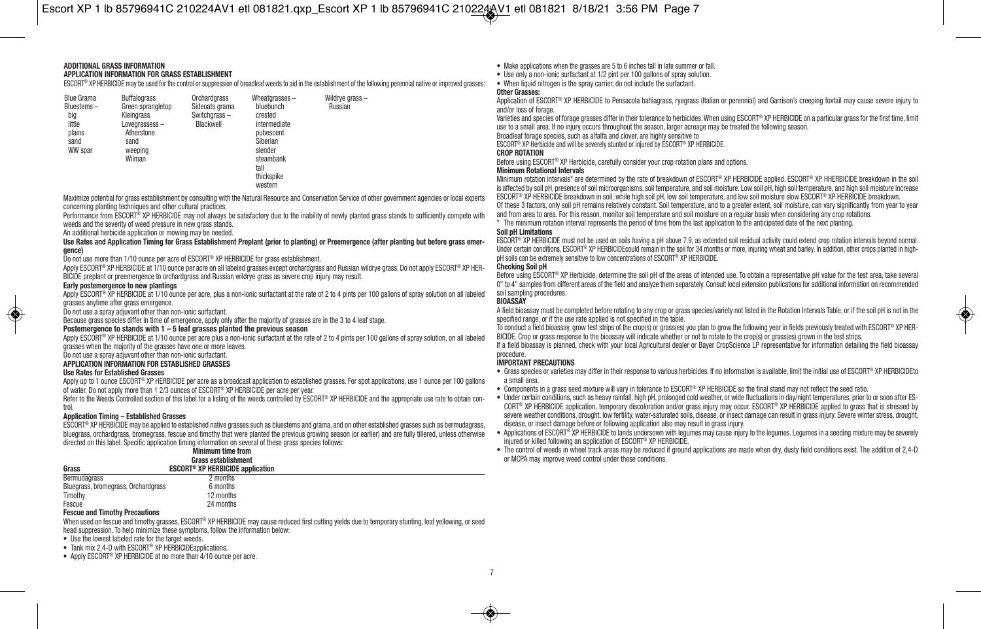#### **ADDITIONAL GRASS INFORMATION**

#### **APPLICATION INFORMATION FOR GRASS ESTABLISHMENT**

ESCORT® XP HERBICIDE may be used for the control or suppression of broadleaf weeds to aid in the establishment of the following perennial native or improved grasses:

| <b>Blue Grama</b><br>Bluestems-<br>big<br>little<br>plains<br>sand<br>WW spar | <b>Buffalograss</b><br>Green sprangletop<br>Kleingrass<br>Lovegrassess-<br>Atherstone<br>sand<br>weeping<br>Wilman | Orchardgrass<br>Sideoats grama<br>Switchgrass-<br>Blackwell | Wheatgrasses-<br>bluebunch<br>crested<br>intermediate<br>pubescent<br>Siberian<br>slender<br>steambank<br>tall<br>thickspike | Wildrye grass $-$<br>Russian |  |
|-------------------------------------------------------------------------------|--------------------------------------------------------------------------------------------------------------------|-------------------------------------------------------------|------------------------------------------------------------------------------------------------------------------------------|------------------------------|--|
|                                                                               |                                                                                                                    |                                                             | western                                                                                                                      |                              |  |

Maximize potential for grass establishment by consulting with the Natural Resource and Conservation Service of other government agencies or local experts concerning planting techniques and other cultural practices.

Performance from ESCORT® XP HERBICIDE may not always be satisfactory due to the inability of newly planted grass stands to sufficiently compete with weeds and the severity of weed pressure in new grass stands.

An additional herbicide application or mowing may be needed.

#### **Use Rates and Application Timing for Grass Establishment Preplant (prior to planting) or Preemergence (after planting but before grass emergence)**

Do not use more than 1/10 ounce per acre of ESCORT® XP HERBICIDE for grass establishment.

Apply ESCORT® XP HERBICIDE at 1/10 ounce per acre on all labeled grasses except orchardgrass and Russian wildrye grass. Do not apply ESCORT® XP HER-BICIDE preplant or preemergence to orchardgrass and Russian wildrye grass as severe crop injury may result.

#### **Early postemergence to new plantings**

Apply ESCORT® XP HERBICIDE at 1/10 ounce per acre, plus a non-ionic surfactant at the rate of 2 to 4 pints per 100 gallons of spray solution on all labeled grasses anytime after grass emergence.

Do not use a spray adjuvant other than non-ionic surfactant.

Because grass species differ in time of emergence, apply only after the majority of grasses are in the 3 to 4 leaf stage.

#### **Postemergence to stands with 1 – 5 leaf grasses planted the previous season**

Apply ESCORT® XP HERBICIDE at 1/10 ounce per acre plus a non-ionic surfactant at the rate of 2 to 4 pints per 100 gallons of spray solution, on all labeled grasses when the majority of the grasses have one or more leaves.

### Do not use a spray adjuvant other than non-ionic surfactant.

**APPLICATION INFORMATION FOR ESTABLISHED GRASSES** 

#### **Use Rates for Established Grasses**

Apply up to 1 ounce ESCORT® XP HERBICIDE per acre as a broadcast application to established grasses. For spot applications, use 1 ounce per 100 gallons of water. Do not apply more than 1 2/3 ounces of ESCORT® XP HERBICIDE per acre per year.

Refer to the Weeds Controlled section of this label for a listing of the weeds controlled by ESCORT® XP HERBICIDE and the appropriate use rate to obtain control.

#### **Application Timing – Established Grasses**

ESCORT® XP HERBICIDE may be applied to established native grasses such as bluestems and grama, and on other established grasses such as bermudagrass, bluegrass, orchardgrass, bromegrass, fescue and timothy that were planted the previous growing season (or earlier) and are fully tillered, unless otherwise directed on this label. Specific application timing information on several of these grass species follows:

#### **Minimum time from Grace actablichment**

| Grass                               | ----------------------------------<br><b>ESCORT<sup>®</sup> XP HERBICIDE application</b> |  |
|-------------------------------------|------------------------------------------------------------------------------------------|--|
| Bermudagrass                        | 2 months                                                                                 |  |
| Bluegrass, bromegrass, Orchardgrass | 6 months                                                                                 |  |
| Timothy                             | 12 months                                                                                |  |
| Fescue                              | 24 months                                                                                |  |
| ______                              |                                                                                          |  |

#### **Fescue and Timothy Precautions**

When used on fescue and timothy grasses, ESCORT® XP HERBICIDE may cause reduced first cutting yields due to temporary stunting, leaf yellowing, or seed head suppression. To help minimize these symptoms, follow the information below:

• Use the lowest labeled rate for the target weeds.

• Tank mix 2,4-D with ESCORT<sup>®</sup> XP HERBICIDEapplications.

• Apply ESCORT® XP HERBICIDE at no more than 4/10 ounce per acre.

- Make applications when the grasses are 5 to 6 inches tall in late summer or fall.
- Use only a non-ionic surfactant at 1/2 pint per 100 gallons of spray solution.
- When liquid nitrogen is the spray carrier, do not include the surfactant.

#### **Other Grasses:**

Application of ESCORT® XP HERBICIDE to Pensacola bahiagrass, ryegrass (Italian or perennial) and Garrison's creeping foxtail may cause severe injury to and/or loss of forage.

Varieties and species of forage grasses differ in their tolerance to herbicides. When using ESCORT<sup>®</sup> XP HERBICIDE on a particular grass for the first time, limit use to a small area. If no injury occurs throughout the season, larger acreage may be treated the following season.

Broadleaf forage species, such as alfalfa and clover, are highly sensitive to

#### ESCORT® XP Herbicide and will be severely stunted or injured by ESCORT® XP HERBICIDE. **CROP ROTATION**

Before using ESCORT® XP Herbicide, carefully consider your crop rotation plans and options.

#### **Minimum Rotational Intervals**

Minimum rotation intervals\* are determined by the rate of breakdown of ESCORT® XP HERBICIDE applied. ESCORT® XP HHERBICIDE breakdown in the soil is affected by soil pH, presence of soil microorganisms, soil temperature, and soil moisture. Low soil pH, high soil temperature, and high soil moisture increase ESCORT® XP HERBICIDE breakdown in soil, while high soil pH, low soil temperature, and low soil moisture slow ESCORT® XP HERBICIDE breakdown. Of these 3 factors, only soil pH remains relatively constant. Soil temperature, and to a greater extent, soil moisture, can vary significantly from year to year and from area to area. For this reason, monitor soil temperature and soil moisture on a regular basis when considering any crop rotations.

\* The minimum rotation interval represents the period of time from the last application to the anticipated date of the next planting.

#### **Soil pH Limitations**

ESCORT® XP HERBICIDE must not be used on soils having a pH above 7.9, as extended soil residual activity could extend crop rotation intervals beyond normal. Under certain conditions, ESCORT® XP HERBICIDEcould remain in the soil for 34 months or more, injuring wheat and barley. In addition, other crops planted in highpH soils can be extremely sensitive to low concentrations of ESCORT® XP HERBICIDE.

#### **Checking Soil pH**

Before using ESCORT® XP Herbicide, determine the soil pH of the areas of intended use. To obtain a representative pH value for the test area, take several 0" to 4" samples from different areas of the field and analyze them separately. Consult local extension publications for additional information on recommended soil sampling procedures.

#### **BIOASSAY**

A field bioassay must be completed before rotating to any crop or grass species/variety not listed in the Rotation Intervals Table, or if the soil pH is not in the specified range, or if the use rate applied is not specified in the table.

To conduct a field bioassay, grow test strips of the crop(s) or grass(es) you plan to grow the following year in fields previously treated with ESCORT® XP HER-BICIDE. Crop or grass response to the bioassay will indicate whether or not to rotate to the crop(s) or grass(es) grown in the test strips.

If a field bioassay is planned, check with your local Agricultural dealer or Bayer CropScience LP representative for information detailing the field bioassay procedure.

#### **IMPORTANT PRECAUTIONS**

- Grass species or varieties may differ in their response to various herbicides. If no information is available, limit the initial use of ESCORT® XP HERBICIDEto a small area.
- Components in a grass seed mixture will vary in tolerance to ESCORT® XP HERBICIDE so the final stand may not reflect the seed ratio.
- Under certain conditions, such as heavy rainfall, high pH, prolonged cold weather, or wide fluctuations in day/night temperatures, prior to or soon after ES-CORT® XP HERBICIDE application, temporary discoloration and/or grass injury may occur. ESCORT® XP HERBICIDE applied to grass that is stressed by severe weather conditions, drought, low fertility, water-saturated soils, disease, or insect damage can result in grass injury. Severe winter stress, drought, disease, or insect damage before or following application also may result in grass injury.
- Applications of ESCORT® XP HERBICIDE to lands undersown with legumes may cause injury to the legumes. Legumes in a seeding mixture may be severely injured or killed following an application of ESCORT® XP HERBICIDE.
- The control of weeds in wheel track areas may be reduced if ground applications are made when dry, dusty field conditions exist. The addition of 2,4-D or MCPA may improve weed control under these conditions.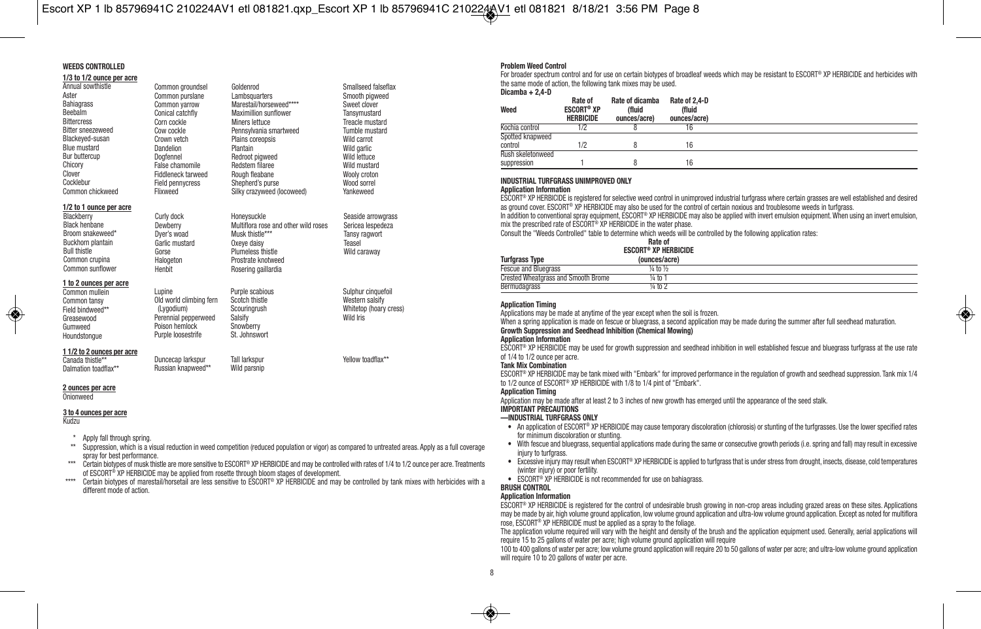Smallseed falseflax Smooth pigweed Sweet clover **Tansymustard** Treacle mustard Tumble mustard Wild carrot Wild garlic Wild lettuce Wild mustard Wooly croton Wood sorrel Yankeweed

Seaside arrowgrass Sericea lespedeza Tansy ragwort Teasel Wild caraway

Sulphur cinquefoil Western salsify Whitetop (hoary cress) Wild Iris

Yellow toadflax\*\*

#### **1/3 to 1/2 ounce per acre**

Annual sowthistle Aster Bahiagrass Beebalm Bittercress Bitter sneezeweed Blackeyed-susan Blue mustard Bur buttercup Chicory Clover Cocklebur Common chickweed Common groundsel Common purslane Common yarrow Conical catchfly Corn cockle Cow cockle Crown vetch Dandelion Dogfennel False chamomile Fiddleneck tarweed Field pennycress Flixweed

Gorse

Henbit

Lupine Old world climbing fern (Lygodium) Perennial pepperweed Poison hemlock Purple loosestrife

Goldenrod **Lambsquarters** Marestail/horseweed\*\*\*\* Maximillion sunflower Miners lettuce Pennsylvania smartweed Plains coreopsis Plantain Redroot pigweed Redstem filaree Rough fleabane Shepherd's purse Silky crazyweed (locoweed)

#### **1/2 to 1 ounce per acre** Blackberry

Black henbane Broom snakeweed\* Buckhorn plantain Bull thistle Common crupina Common sunflower Curly dock Dewberry Dyer's woad Garlic mustard Halogeton Honeysuckle Multiflora rose and other wild roses Musk thistle\*\*\* Oxeye daisy Plumeless thistle Prostrate knotweed Rosering gaillardia

> Purple scabious Scotch thistle Scouringrush Salsify Snowberry St. Johnswort

#### **1 to 2 ounces per acre**

Common mullein Common tansy Field bindweed\*\* Greasewood Gumweed Houndstongue

**1 1/2 to 2 ounces per acre** Canada thistle\*\*

Duncecap larkspur Russian knapweed\*\* Tall larkspur Wild parsnip

Dalmation toadflax\*\* **2 ounces per acre** Onionweed

#### **3 to 4 ounces per acre**

Kudzu

- \* Apply fall through spring.
- Suppression, which is a visual reduction in weed competition (reduced population or vigor) as compared to untreated areas. Apply as a full coverage spray for best performance.
- Certain biotypes of musk thistle are more sensitive to ESCORT® XP HERBICIDE and may be controlled with rates of 1/4 to 1/2 ounce per acre. Treatments of ESCORT<sup>®</sup> XP HERBICIDE may be applied from rosette through bloom stages of development.
- \*\*\*\* Certain biotypes of marestail/horsetail are less sensitive to ESCORT® XP HERBICIDE and may be controlled by tank mixes with herbicides with a different mode of action.

#### **WEEDS CONTROLLED Problem Weed Control**

For broader spectrum control and for use on certain biotypes of broadleaf weeds which may be resistant to ESCORT® XP HERBICIDE and herbicides with the same mode of action, the following tank mixes may be used.

#### **Dicamba + 2,4-D Rate of Bate of dicamba Rate of 2,4-D<br>Weed ESCORT® XP fluid fluid fluid ESCORT® XP** (fluid text)<br>
HERBICIDE ounces/acre) ounces/acre)  $ources/acre)$ Kochia control  $\overline{1/2}$  8 16 Spotted knapweed<br>control control 1/2 8 16 Rush skeletonweed suppression 1 8 16

#### **INDUSTRIAL TURFGRASS UNIMPROVED ONLY**

#### **Application Information**

ESCORT® XP HERBICIDE is registered for selective weed control in unimproved industrial turfgrass where certain grasses are well established and desired as ground cover. ESCORT® XP HERBICIDE may also be used for the control of certain noxious and troublesome weeds in turfgrass.

In addition to conventional spray equipment, ESCORT® XP HERBICIDE may also be applied with invert emulsion equipment. When using an invert emulsion, mix the prescribed rate of ESCORT® XP HERBICIDE in the water phase.

Consult the "Weeds Controlled" table to determine which weeds will be controlled by the following application rates:

#### **Rate of ESCORT® XP HERBICIDE**

| Turfgrass<br>Tvpe<br>       |        |
|-----------------------------|--------|
| <b>Fescue and Bluegrass</b> | to     |
| Creste                      | 4 to   |
| Bermudagrass                | `to '∠ |

#### **Application Timing**

Applications may be made at anytime of the year except when the soil is frozen.

When a spring application is made on fescue or bluegrass, a second application may be made during the summer after full seedhead maturation.

### **Growth Suppression and Seedhead Inhibition (Chemical Mowing)**

### **Application Information**

ESCORT® XP HERBICIDE may be used for growth suppression and seedhead inhibition in well established fescue and bluegrass turfgrass at the use rate of 1/4 to 1/2 ounce per acre.

#### **Tank Mix Combination**

ESCORT® XP HERBICIDE may be tank mixed with "Embark" for improved performance in the regulation of growth and seedhead suppression. Tank mix 1/4 to 1/2 ounce of ESCORT® XP HERBICIDE with 1/8 to 1/4 pint of "Embark".

#### **Application Timing**

Application may be made after at least 2 to 3 inches of new growth has emerged until the appearance of the seed stalk.

### **IMPORTANT PRECAUTIONS**

### **—INDUSTRIAL TURFGRASS ONLY**

- An application of ESCORT® XP HERBICIDE may cause temporary discoloration (chlorosis) or stunting of the turfgrasses. Use the lower specified rates for minimum discoloration or stunting.
- With fescue and bluegrass, sequential applications made during the same or consecutive growth periods (i.e. spring and fall) may result in excessive injury to turfgrass.
- Excessive injury may result when ESCORT® XP HERBICIDE is applied to turfgrass that is under stress from drought, insects, disease, cold temperatures (winter injury) or poor fertility.
- ESCORT<sup>®</sup> XP HERBICIDE is not recommended for use on bahiagrass.

## **BRUSH CONTROL**

#### **Application Information**

ESCORT<sup>®</sup> XP HERBICIDE is registered for the control of undesirable brush growing in non-crop areas including grazed areas on these sites. Applications may be made by air, high volume ground application, low volume ground application and ultra-low volume ground application. Except as noted for multiflora rose, ESCORT® XP HERBICIDE must be applied as a spray to the foliage.

The application volume required will vary with the height and density of the brush and the application equipment used. Generally, aerial applications will require 15 to 25 gallons of water per acre; high volume ground application will require

100 to 400 gallons of water per acre; low volume ground application will require 20 to 50 gallons of water per acre; and ultra-low volume ground application will require 10 to 20 gallons of water per acre.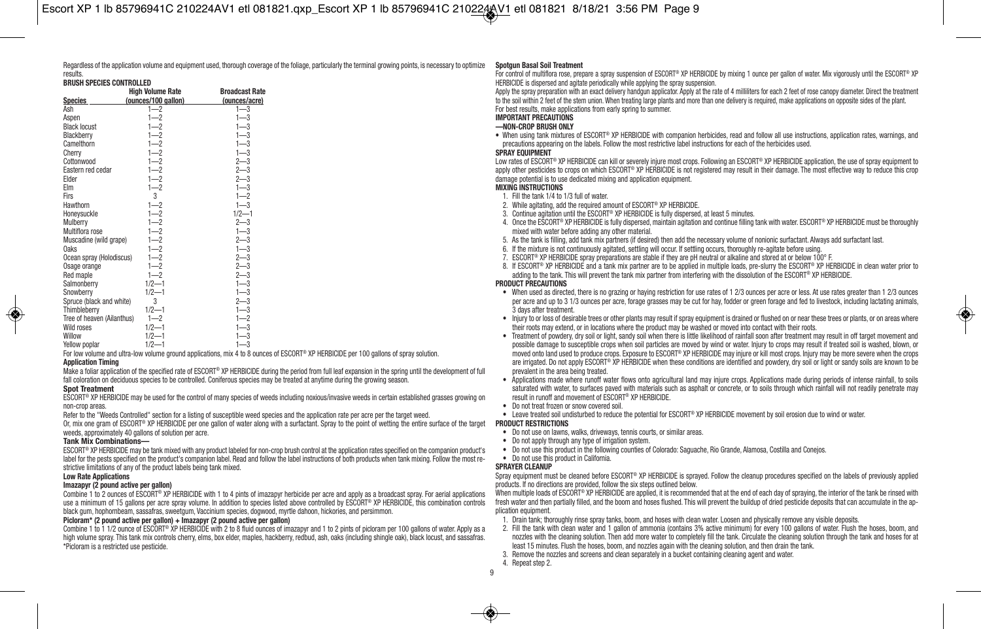Regardless of the application volume and equipment used, thorough coverage of the foliage, particularly the terminal growing points, is necessary to optimize results.

### **BRUSH SPECIES CONTROLLED**

| טוויוטט טבושב וט ווטטווע   |                         |                       |                                                                                                                                       |
|----------------------------|-------------------------|-----------------------|---------------------------------------------------------------------------------------------------------------------------------------|
|                            | <b>High Volume Rate</b> | <b>Broadcast Rate</b> |                                                                                                                                       |
| <b>Species</b>             | (ounces/100 gallon)     | (ounces/acre)         |                                                                                                                                       |
| Ash                        | $1 - 2$                 | $1 - 3$               |                                                                                                                                       |
| Aspen                      | -2                      | -3                    |                                                                                                                                       |
| <b>Black locust</b>        |                         | -3                    |                                                                                                                                       |
| Blackberry                 |                         | $-3$                  |                                                                                                                                       |
| Camelthorn                 |                         | $-3$                  |                                                                                                                                       |
| Cherry                     |                         | $-3$                  |                                                                                                                                       |
| Cottonwood                 |                         | $2 - 3$               |                                                                                                                                       |
| Eastern red cedar          |                         | $2 - 3$               |                                                                                                                                       |
| Elder                      | $-2$                    | $2 - 3$               |                                                                                                                                       |
| Elm                        |                         | $1 - 3$               |                                                                                                                                       |
| Firs                       | 3                       | $-2$                  |                                                                                                                                       |
| Hawthorn                   | $-2$                    | $1 - 3$               |                                                                                                                                       |
| Honeysuckle                |                         | $1/2 - 1$             |                                                                                                                                       |
| Mulberry                   |                         | $2 - 3$               |                                                                                                                                       |
| Multiflora rose            |                         | $1 - 3$               |                                                                                                                                       |
| Muscadine (wild grape)     |                         | $2 - 3$               |                                                                                                                                       |
| <b>Oaks</b>                |                         | $1 - 3$               |                                                                                                                                       |
| Ocean spray (Holodiscus)   |                         | $2 - 3$               |                                                                                                                                       |
| Osage orange               | -2                      | $2 - 3$               |                                                                                                                                       |
| Red maple                  | $1 - 2$                 | $2 - 3$               |                                                                                                                                       |
| Salmonberry                | $1/2 - 1$               | $-3$                  |                                                                                                                                       |
| Snowberry                  | $1/2 - 1$               | $1 - 3$               |                                                                                                                                       |
| Spruce (black and white)   | 3                       | $2 - 3$               |                                                                                                                                       |
| Thimbleberry               | $1/2 - 1$               | $_{-3}$               |                                                                                                                                       |
| Tree of heaven (Ailanthus) | $1 - 2$                 |                       |                                                                                                                                       |
| Wild roses                 | $1/2 - 1$               |                       |                                                                                                                                       |
| Willow                     | $1/2 - 1$               | -3                    |                                                                                                                                       |
| Yellow poplar              | $1/2 - 1$               | -3                    |                                                                                                                                       |
|                            |                         |                       | For low volume and ultra-low volume ground applications, mix 4 to 8 ounces of ESCORT® XP HERBICIDE per 100 gallons of spray solution. |

#### **Application Timing**

Make a foliar application of the specified rate of ESCORT<sup>®</sup> XP HERBICIDE during the period from full leaf expansion in the spring until the development of full fall coloration on deciduous species to be controlled. Coniferous species may be treated at anytime during the growing season.

#### **Spot Treatment**

ESCORT<sup>®</sup> XP HERBICIDE may be used for the control of many species of weeds including noxious/invasive weeds in certain established grasses growing on non-crop areas.

Refer to the "Weeds Controlled" section for a listing of susceptible weed species and the application rate per acre per the target weed.

Or, mix one gram of ESCORT® XP HERBICIDE per one gallon of water along with a surfactant. Spray to the point of wetting the entire surface of the target weeds, approximately 40 gallons of solution per acre.

#### **Tank Mix Combinations—**

ESCORT® XP HERBICIDE may be tank mixed with any product labeled for non-crop brush control at the application rates specified on the companion product's label for the pests specified on the product's companion label. Read and follow the label instructions of both products when tank mixing. Follow the most restrictive limitations of any of the product labels being tank mixed.

#### **Low Rate Applications**

#### **Imazapyr (2 pound active per gallon)**

Combine 1 to 2 ounces of ESCORT® XP HERBICIDE with 1 to 4 pints of imazapyr herbicide per acre and apply as a broadcast spray. For aerial applications use a minimum of 15 gallons per acre spray volume. In addition to species listed above controlled by ESCORT® XP HERBICIDE, this combination controls black gum, hophornbeam, sassafras, sweetgum, Vaccinium species, dogwood, myrtle dahoon, hickories, and persimmon.

### **Picloram\* (2 pound active per gallon) + Imazapyr (2 pound active per gallon)**

Combine 1 to 1 1/2 ounce of ESCORT® XP HERBICIDE with 2 to 8 fluid ounces of imazapyr and 1 to 2 pints of picloram per 100 gallons of water. Apply as a high volume spray. This tank mix controls cherry, elms, box elder, maples, hackberry, redbud, ash, oaks (including shingle oak), black locust, and sassafras. \*Picloram is a restricted use pesticide.

#### **Spotgun Basal Soil Treatment**

For control of multiflora rose, prepare a spray suspension of ESCORT® XP HERBICIDE by mixing 1 ounce per gallon of water. Mix vigorously until the ESCORT® XP HERBICIDE is dispersed and agitate periodically while applying the spray suspension.

Apply the spray preparation with an exact delivery handgun applicator. Apply at the rate of 4 milliliters for each 2 feet of rose canopy diameter. Direct the treatment to the soil within 2 feet of the stem union. When treating large plants and more than one delivery is required, make applications on opposite sides of the plant. For best results, make applications from early spring to summer.

#### **IMPORTANT PRECAUTIONS —NON-CROP BRUSH ONLY**

• When using tank mixtures of ESCORT® XP HERBICIDE with companion herbicides, read and follow all use instructions, application rates, warnings, and precautions appearing on the labels. Follow the most restrictive label instructions for each of the herbicides used.

#### **SPRAY EQUIPMENT**

Low rates of ESCORT® XP HERBICIDE can kill or severely injure most crops. Following an ESCORT® XP HERBICIDE application, the use of spray equipment to apply other pesticides to crops on which ESCORT® XP HERBICIDE is not registered may result in their damage. The most effective way to reduce this crop damage potential is to use dedicated mixing and application equipment.

### **MIXING INSTRUCTIONS**

- 1. Fill the tank 1/4 to 1/3 full of water.
- 2. While agitating, add the required amount of ESCORT® XP HERBICIDE.
- 3. Continue agitation until the ESCORT® XP HERBICIDE is fully dispersed, at least 5 minutes.
- 4. Once the ESCORT® XP HERBICIDE is fully dispersed, maintain agitation and continue filling tank with water. ESCORT® XP HERBICIDE must be thoroughly mixed with water before adding any other material.
- 5. As the tank is filling, add tank mix partners (if desired) then add the necessary volume of nonionic surfactant. Always add surfactant last.
- 6. If the mixture is not continuously agitated, settling will occur. If settling occurs, thoroughly re-agitate before using.
- 7. ESCORT® XP HERBICIDE spray preparations are stable if they are pH neutral or alkaline and stored at or below 100° F.
- 8. If ESCORT® XP HERBICIDE and a tank mix partner are to be applied in multiple loads, pre-slurry the ESCORT® XP HERBICIDE in clean water prior to adding to the tank. This will prevent the tank mix partner from interfering with the dissolution of the ESCORT® XP HERBICIDE.

#### **PRODUCT PRECAUTIONS**

- When used as directed, there is no grazing or haying restriction for use rates of 1 2/3 ounces per acre or less. At use rates greater than 1 2/3 ounces per acre and up to 3 1/3 ounces per acre, forage grasses may be cut for hay, fodder or green forage and fed to livestock, including lactating animals, 3 days after treatment.
- Injury to or loss of desirable trees or other plants may result if spray equipment is drained or flushed on or near these trees or plants, or on areas where their roots may extend, or in locations where the product may be washed or moved into contact with their roots.
- Treatment of powdery, dry soil or light, sandy soil when there is little likelihood of rainfall soon after treatment may result in off target movement and possible damage to susceptible crops when soil particles are moved by wind or water. Injury to crops may result if treated soil is washed, blown, or moved onto land used to produce crops. Exposure to ESCORT® XP HERBICIDE may injure or kill most crops. Injury may be more severe when the crops are irrigated. Do not apply ESCORT® XP HERBICIDE when these conditions are identified and powdery, dry soil or light or sandy soils are known to be prevalent in the area being treated.
- Applications made where runoff water flows onto agricultural land may injure crops. Applications made during periods of intense rainfall, to soils saturated with water, to surfaces paved with materials such as asphalt or concrete, or to soils through which rainfall will not readily penetrate may result in runoff and movement of ESCORT® XP HERBICIDE.
- Do not treat frozen or snow covered soil.
- Leave treated soil undisturbed to reduce the potential for ESCORT® XP HERBICIDE movement by soil erosion due to wind or water.

#### **PRODUCT RESTRICTIONS**

- Do not use on lawns, walks, driveways, tennis courts, or similar areas.
- Do not apply through any type of irrigation system.
- Do not use this product in the following counties of Colorado: Saguache, Rio Grande, Alamosa, Costilla and Conejos.

### • Do not use this product in California.

#### **SPRAYER CLEANUP**

Spray equipment must be cleaned before ESCORT® XP HERBICIDE is sprayed. Follow the cleanup procedures specified on the labels of previously applied products. If no directions are provided, follow the six steps outlined below.

When multiple loads of ESCORT® XP HERBICIDE are applied, it is recommended that at the end of each day of spraying, the interior of the tank be rinsed with fresh water and then partially filled, and the boom and hoses flushed. This will prevent the buildup of dried pesticide deposits that can accumulate in the application equipment.

- 1. Drain tank; thoroughly rinse spray tanks, boom, and hoses with clean water. Loosen and physically remove any visible deposits.
- 2. Fill the tank with clean water and 1 gallon of ammonia (contains 3% active minimum) for every 100 gallons of water. Flush the hoses, boom, and nozzles with the cleaning solution. Then add more water to completely fill the tank. Circulate the cleaning solution through the tank and hoses for at least 15 minutes. Flush the hoses, boom, and nozzles again with the cleaning solution, and then drain the tank.
- 3. Remove the nozzles and screens and clean separately in a bucket containing cleaning agent and water.
- 4. Repeat step 2.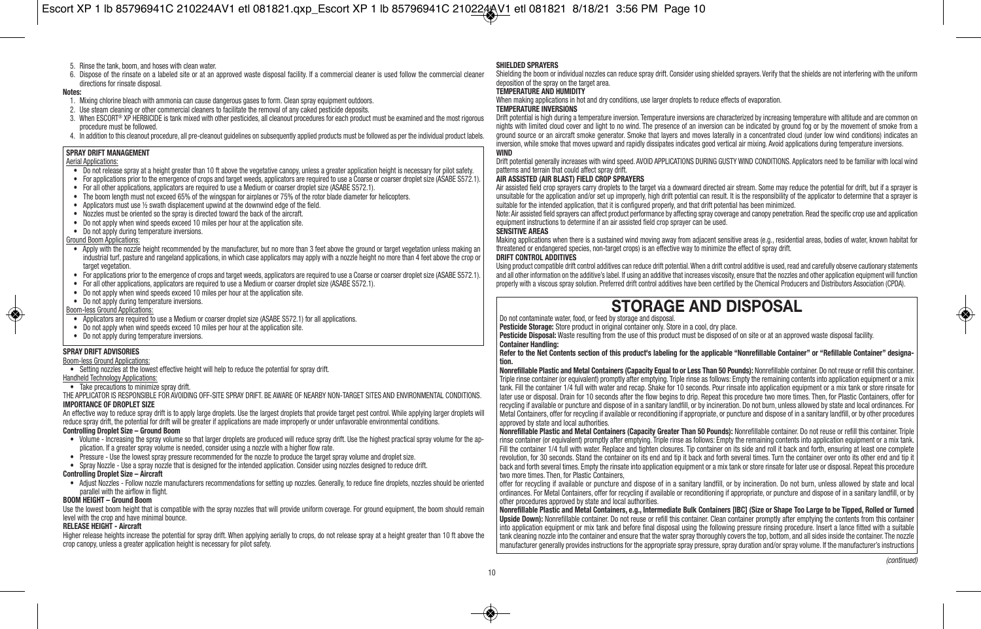Escort XP 1 lb 85796941C 210224AV1 etl 081821.qxp\_Escort XP 1 lb 85796941C 21022/4NV1 etl 081821 8/18/21 3:56 PM Page 10

- 5. Rinse the tank, boom, and hoses with clean water.
- 6. Dispose of the rinsate on a labeled site or at an approved waste disposal facility. If a commercial cleaner is used follow the commercial cleaner directions for rinsate disposal.

#### **Notes:**

- 1. Mixing chlorine bleach with ammonia can cause dangerous gases to form. Clean spray equipment outdoors.
- 2. Use steam cleaning or other commercial cleaners to facilitate the removal of any caked pesticide deposits.
- 3. When ESCORT® XP HERBICIDE is tank mixed with other pesticides, all cleanout procedures for each product must be examined and the most rigorous procedure must be followed.
- 4. In addition to this cleanout procedure, all pre-cleanout guidelines on subsequently applied products must be followed as per the individual product labels.

#### **SPRAY DRIFT MANAGEMENT**

#### Aerial Applications:

- Do not release spray at a height greater than 10 ft above the vegetative canopy, unless a greater application height is necessary for pilot safety.
- For applications prior to the emergence of crops and target weeds, applicators are required to use a Coarse or coarser droplet size (ASABE S572.1).
- For all other applications, applicators are required to use a Medium or coarser droplet size (ASABE S572.1).
- The boom length must not exceed 65% of the wingspan for airplanes or 75% of the rotor blade diameter for helicopters.
- Applicators must use ½ swath displacement upwind at the downwind edge of the field.
- Nozzles must be oriented so the spray is directed toward the back of the aircraft.
- Do not apply when wind speeds exceed 10 miles per hour at the application site.
- Do not apply during temperature inversions.

#### Ground Boom Applications:

- Apply with the nozzle height recommended by the manufacturer, but no more than 3 feet above the ground or target vegetation unless making an industrial turf, pasture and rangeland applications, in which case applicators may apply with a nozzle height no more than 4 feet above the crop or target vegetation.
- For applications prior to the emergence of crops and target weeds, applicators are required to use a Coarse or coarser droplet size (ASABE S572.1).
- For all other applications, applicators are required to use a Medium or coarser droplet size (ASABE S572.1).
- Do not apply when wind speeds exceed 10 miles per hour at the application site.
- Do not apply during temperature inversions.

#### Boom-less Ground Applications:

- Applicators are required to use a Medium or coarser droplet size (ASABE S572.1) for all applications.
- Do not apply when wind speeds exceed 10 miles per hour at the application site.
- Do not apply during temperature inversions.

#### **SPRAY DRIFT ADVISORIES**

#### Boom-less Ground Applications:

• Setting nozzles at the lowest effective height will help to reduce the potential for spray drift.

#### Handheld Technology Applications:

• Take precautions to minimize spray drift.

THE APPLICATOR IS RESPONSIBLE FOR AVOIDING OFF-SITE SPRAY DRIFT. BE AWARE OF NEARBY NON-TARGET SITES AND ENVIRONMENTAL CONDITIONS. **IMPORTANCE OF DROPLET SIZE**

An effective way to reduce spray drift is to apply large droplets. Use the largest droplets that provide target pest control. While applying larger droplets will reduce spray drift, the potential for drift will be greater if applications are made improperly or under unfavorable environmental conditions.

#### **Controlling Droplet Size – Ground Boom**

- Volume Increasing the spray volume so that larger droplets are produced will reduce spray drift. Use the highest practical spray volume for the application. If a greater spray volume is needed, consider using a nozzle with a higher flow rate.
- Pressure Use the lowest spray pressure recommended for the nozzle to produce the target spray volume and droplet size.
- Spray Nozzle Use a spray nozzle that is designed for the intended application. Consider using nozzles designed to reduce drift.

#### **Controlling Droplet Size – Aircraft**

 • Adjust Nozzles - Follow nozzle manufacturers recommendations for setting up nozzles. Generally, to reduce fine droplets, nozzles should be oriented parallel with the airflow in flight.

#### **BOOM HEIGHT – Ground Boom**

Use the lowest boom height that is compatible with the spray nozzles that will provide uniform coverage. For ground equipment, the boom should remain level with the crop and have minimal bounce.

#### **RELEASE HEIGHT - Aircraft**

Higher release heights increase the potential for spray drift. When applying aerially to crops, do not release spray at a height greater than 10 ft above the crop canopy, unless a greater application height is necessary for pilot safety.

#### **SHIELDED SPRAYERS**

Shielding the boom or individual nozzles can reduce spray drift. Consider using shielded sprayers. Verify that the shields are not interfering with the uniform deposition of the spray on the target area.

### **TEMPERATURE AND HUMIDITY**

When making applications in hot and dry conditions, use larger droplets to reduce effects of evaporation.

#### **TEMPERATURE INVERSIONS**

Drift potential is high during a temperature inversion. Temperature inversions are characterized by increasing temperature with altitude and are common on nights with limited cloud cover and light to no wind. The presence of an inversion can be indicated by ground fog or by the movement of smoke from a ground source or an aircraft smoke generator. Smoke that layers and moves laterally in a concentrated cloud (under low wind conditions) indicates an inversion, while smoke that moves upward and rapidly dissipates indicates good vertical air mixing. Avoid applications during temperature inversions.

#### **WIND**

Drift potential generally increases with wind speed. AVOID APPLICATIONS DURING GUSTY WIND CONDITIONS. Applicators need to be familiar with local wind patterns and terrain that could affect spray drift.

#### **AIR ASSISTED (AIR BLAST) FIELD CROP SPRAYERS**

Air assisted field crop sprayers carry droplets to the target via a downward directed air stream. Some may reduce the potential for drift, but if a sprayer is unsuitable for the application and/or set up improperly, high drift potential can result. It is the responsibility of the applicator to determine that a sprayer is suitable for the intended application, that it is configured properly, and that drift potential has been minimized.

Note: Air assisted field sprayers can affect product performance by affecting spray coverage and canopy penetration. Read the specific crop use and application equipment instructions to determine if an air assisted field crop sprayer can be used.

#### **SENSITIVE AREAS**

Making applications when there is a sustained wind moving away from adjacent sensitive areas (e.g., residential areas, bodies of water, known habitat for threatened or endangered species, non-target crops) is an effective way to minimize the effect of spray drift.

#### **DRIFT CONTROL ADDITIVES**

Using product compatible drift control additives can reduce drift potential. When a drift control additive is used, read and carefully observe cautionary statements and all other information on the additive's label. If using an additive that increases viscosity, ensure that the nozzles and other application equipment will function properly with a viscous spray solution. Preferred drift control additives have been certified by the Chemical Producers and Distributors Association (CPDA).

# **STORAGE AND DISPOSAL**

Do not contaminate water, food, or feed by storage and disposal.

**Pesticide Storage:** Store product in original container only. Store in a cool, dry place.

**Pesticide Disposal:** Waste resulting from the use of this product must be disposed of on site or at an approved waste disposal facility. **Container Handling:**

**Refer to the Net Contents section of this product's labeling for the applicable "Nonrefillable Container" or "Refillable Container" designation.**

**Nonrefillable Plastic and Metal Containers (Capacity Equal to or Less Than 50 Pounds):** Nonrefillable container. Do not reuse or refill this container. Triple rinse container (or equivalent) promptly after emptying. Triple rinse as follows: Empty the remaining contents into application equipment or a mix tank. Fill the container 1/4 full with water and recap. Shake for 10 seconds. Pour rinsate into application equipment or a mix tank or store rinsate for later use or disposal. Drain for 10 seconds after the flow begins to drip. Repeat this procedure two more times. Then, for Plastic Containers, offer for recycling if available or puncture and dispose of in a sanitary landfill, or by incineration. Do not burn, unless allowed by state and local ordinances. For Metal Containers, offer for recycling if available or reconditioning if appropriate, or puncture and dispose of in a sanitary landfill, or by other procedures approved by state and local authorities.

**Nonrefillable Plastic and Metal Containers (Capacity Greater Than 50 Pounds):** Nonrefillable container. Do not reuse or refill this container. Triple rinse container (or equivalent) promptly after emptying. Triple rinse as follows: Empty the remaining contents into application equipment or a mix tank. Fill the container 1/4 full with water. Replace and tighten closures. Tip container on its side and roll it back and forth, ensuring at least one complete revolution, for 30 seconds. Stand the container on its end and tip it back and forth several times. Turn the container over onto its other end and tip it back and forth several times. Empty the rinsate into application equipment or a mix tank or store rinsate for later use or disposal. Repeat this procedure two more times. Then, for Plastic Containers,

offer for recycling if available or puncture and dispose of in a sanitary landfill, or by incineration. Do not burn, unless allowed by state and local ordinances. For Metal Containers, offer for recycling if available or reconditioning if appropriate, or puncture and dispose of in a sanitary landfill, or by other procedures approved by state and local authorities.

**Nonrefillable Plastic and Metal Containers, e.g., Intermediate Bulk Containers [IBC] (Size or Shape Too Large to be Tipped, Rolled or Turned** Upside Down): Nonrefillable container. Do not reuse or refill this container. Clean container promptly after emptying the contents from this container into application equipment or mix tank and before final disposal using the following pressure rinsing procedure. Insert a lance fitted with a suitable tank cleaning nozzle into the container and ensure that the water spray thoroughly covers the top, bottom, and all sides inside the container. The nozzle manufacturer generally provides instructions for the appropriate spray pressure, spray duration and/or spray volume. If the manufacturer's instructions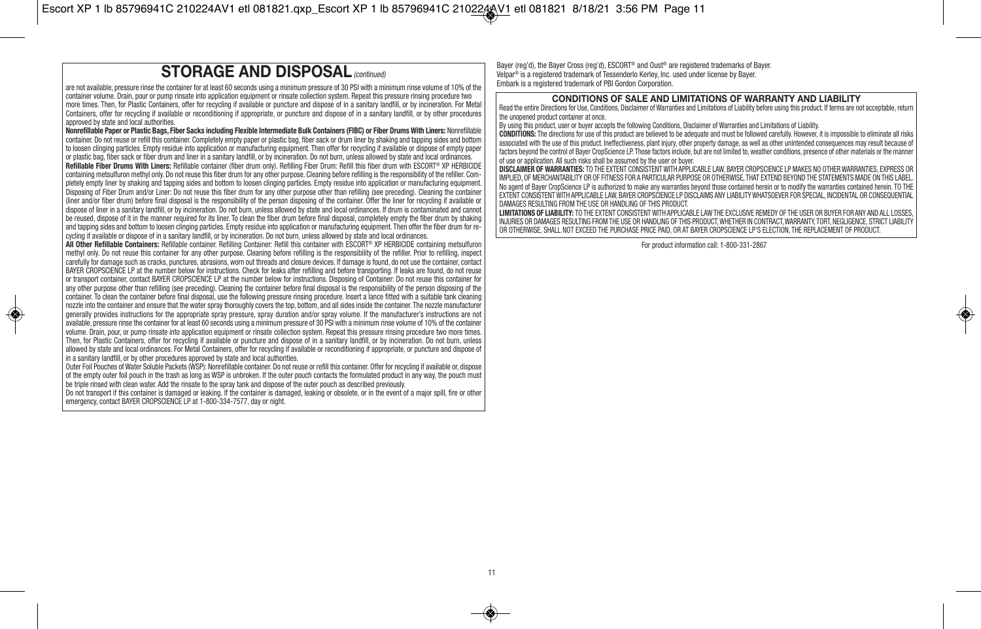# **STORAGE AND DISPOSAL** (continued)

are not available, pressure rinse the container for at least 60 seconds using a minimum pressure of 30 PSI with a minimum rinse volume of 10% of the container volume. Drain, pour or pump rinsate into application equipment or rinsate collection system. Repeat this pressure rinsing procedure two more times. Then, for Plastic Containers, offer for recycling if available or puncture and dispose of in a sanitary landfill, or by incineration. For Metal Containers, offer for recycling if available or reconditioning if appropriate, or puncture and dispose of in a sanitary landfill, or by other procedures approved by state and local authorities.

**Nonrefillable Paper or Plastic Bags, Fiber Sacks including Flexible Intermediate Bulk Containers (FIBC) or Fiber Drums With Liners:** Nonrefillable container. Do not reuse or refill this container. Completely empty paper or plastic bag, fiber sack or drum liner by shaking and tapping sides and bottom to loosen clinging particles. Empty residue into application or manufacturing equipment. Then offer for recycling if available or dispose of empty paper or plastic bag, fiber sack or fiber drum and liner in a sanitary landfill, or by incineration. Do not burn, unless allowed by state and local ordinances.

**Refillable Fiber Drums With Liners:** Refillable container (fiber drum only). Refilling Fiber Drum: Refill this fiber drum with ESCORT® XP HERBICIDE containing metsulfuron methyl only. Do not reuse this fiber drum for any other purpose. Cleaning before refilling is the responsibility of the refiller. Completely empty liner by shaking and tapping sides and bottom to loosen clinging particles. Empty residue into application or manufacturing equipment. Disposing of Fiber Drum and/or Liner: Do not reuse this fiber drum for any other purpose other than refilling (see preceding). Cleaning the container (liner and/or fiber drum) before final disposal is the responsibility of the person disposing of the container. Offer the liner for recycling if available or dispose of liner in a sanitary landfill, or by incineration. Do not burn, unless allowed by state and local ordinances. If drum is contaminated and cannot be reused, dispose of it in the manner required for its liner. To clean the fiber drum before final disposal, completely empty the fiber drum by shaking and tapping sides and bottom to loosen clinging particles. Empty residue into application or manufacturing equipment. Then offer the fiber drum for recycling if available or dispose of in a sanitary landfill, or by incineration. Do not burn, unless allowed by state and local ordinances.

**All Other Refillable Containers:** Refillable container. Refilling Container: Refill this container with ESCORT® XP HERBICIDE containing metsulfuron methyl only. Do not reuse this container for any other purpose. Cleaning before refilling is the responsibility of the refiller. Prior to refilling, inspect carefully for damage such as cracks, punctures, abrasions, worn out threads and closure devices. If damage is found, do not use the container, contact BAYER CROPSCIENCE LP at the number below for instructions. Check for leaks after refilling and before transporting. If leaks are found, do not reuse or transport container, contact BAYER CROPSCIENCE LP at the number below for instructions. Disposing of Container: Do not reuse this container for any other purpose other than refilling (see preceding). Cleaning the container before final disposal is the responsibility of the person disposing of the container. To clean the container before final disposal, use the following pressure rinsing procedure. Insert a lance fitted with a suitable tank cleaning nozzle into the container and ensure that the water spray thoroughly covers the top, bottom, and all sides inside the container. The nozzle manufacturer generally provides instructions for the appropriate spray pressure, spray duration and/or spray volume. If the manufacturer's instructions are not available, pressure rinse the container for at least 60 seconds using a minimum pressure of 30 PSI with a minimum rinse volume of 10% of the container volume. Drain, pour, or pump rinsate into application equipment or rinsate collection system. Repeat this pressure rinsing procedure two more times. Then, for Plastic Containers, offer for recycling if available or puncture and dispose of in a sanitary landfill, or by incineration. Do not burn, unless allowed by state and local ordinances. For Metal Containers, offer for recycling if available or reconditioning if appropriate, or puncture and dispose of in a sanitary landfill, or by other procedures approved by state and local authorities.

Outer Foil Pouches of Water Soluble Packets (WSP): Nonrefillable container. Do not reuse or refill this container. Offer for recycling if available or, dispose of the empty outer foil pouch in the trash as long as WSP is unbroken. If the outer pouch contacts the formulated product in any way, the pouch must be triple rinsed with clean water. Add the rinsate to the spray tank and dispose of the outer pouch as described previously.

Do not transport if this container is damaged or leaking. If the container is damaged, leaking or obsolete, or in the event of a major spill, fire or other emergency, contact BAYER CROPSCIENCE LP at 1-800-334-7577, day or night.

Bayer (reg'd), the Bayer Cross (reg'd), ESCORT<sup>®</sup> and Oust<sup>®</sup> are registered trademarks of Bayer. Velpar<sup>®</sup> is a registered trademark of Tessenderlo Kerley, Inc. used under license by Bayer. Embark is a registered trademark of PBI Gordon Corporation.

### **CONDITIONS OF SALE AND LIMITATIONS OF WARRANTY AND LIABILITY**

Read the entire Directions for Use, Conditions, Disclaimer of Warranties and Limitations of Liability before using this product. If terms are not acceptable, return the unopened product container at once.

By using this product, user or buyer accepts the following Conditions, Disclaimer of Warranties and Limitations of Liability.

**CONDITIONS:** The directions for use of this product are believed to be adequate and must be followed carefully. However, it is impossible to eliminate all risks associated with the use of this product. Ineffectiveness, plant injury, other property damage, as well as other unintended consequences may result because of factors beyond the control of Bayer CropScience LP. Those factors include, but are not limited to, weather conditions, presence of other materials or the manner of use or application. All such risks shall be assumed by the user or buyer.

**DISCLAIMER OF WARRANTIES:** TO THE EXTENT CONSISTENT WITH APPLICABLE LAW, BAYER CROPSCIENCE LP MAKES NO OTHER WARRANTIES, EXPRESS OR IMPLIED, OF MERCHANTABILITY OR OF FITNESS FOR A PARTICULAR PURPOSE OR OTHERWISE, THAT EXTEND BEYOND THE STATEMENTS MADE ON THIS LABEL. No agent of Bayer CropScience LP is authorized to make any warranties beyond those contained herein or to modify the warranties contained herein. TO THE EXTENT CONSISTENT WITH APPLICABLE LAW, BAYER CROPSCIENCE LP DISCLAIMS ANY LIABILITY WHATSOEVER FOR SPECIAL, INCIDENTAL OR CONSEQUENTIAL DAMAGES RESULTING FROM THE USE OR HANDLING OF THIS PRODUCT.

**LIMITATIONS OF LIABILITY:** TO THE EXTENT CONSISTENT WITH APPLICABLE LAW THE EXCLUSIVE REMEDY OF THE USER OR BUYER FOR ANY AND ALL LOSSES, INJURIES OR DAMAGES RESULTING FROM THE USE OR HANDLING OF THIS PRODUCT, WHETHER IN CONTRACT, WARRANTY, TORT, NEGLIGENCE, STRICT LIABILITY OR OTHERWISE, SHALL NOT EXCEED THE PURCHASE PRICE PAID, OR AT BAYER CROPSCIENCE LP'S ELECTION, THE REPLACEMENT OF PRODUCT.

For product information call: 1-800-331-2867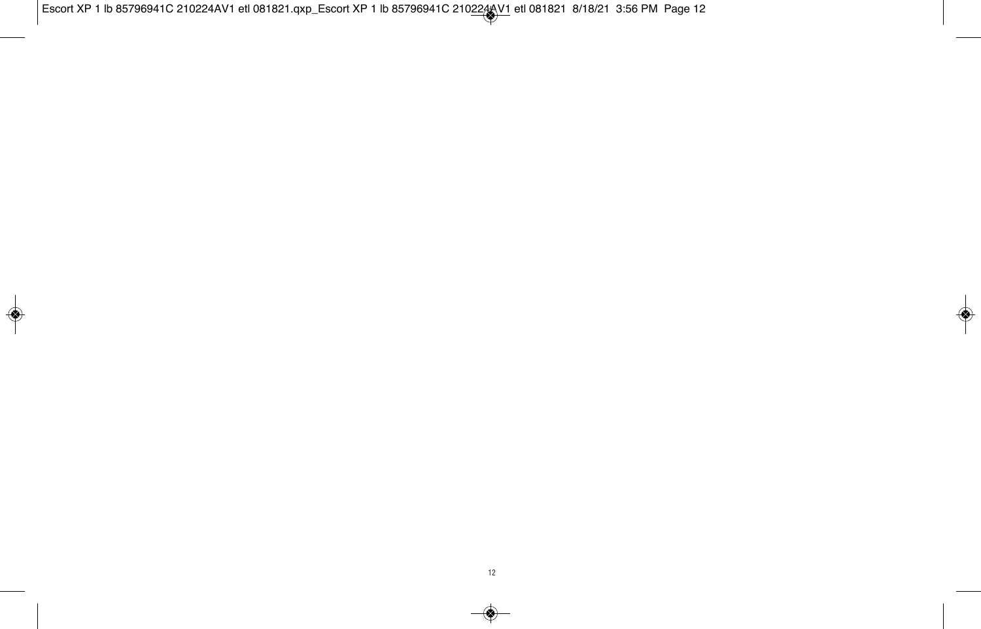Escort XP 1 lb 85796941C 210224AV1 etl 081821.qxp\_Escort XP 1 lb 85796941C 210224AV1 etl 081821 8/18/21 3:56 PM Page 12

 $\bigcirc$ 

◈

◈